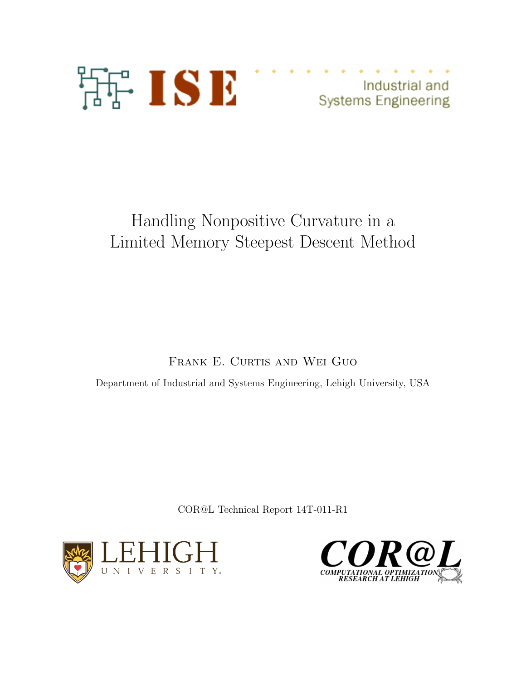

Industrial and **Systems Engineering** 

# Handling Nonpositive Curvature in a Limited Memory Steepest Descent Method

FRANK E. CURTIS AND WEI GUO

Department of Industrial and Systems Engineering, Lehigh University, USA

COR@L Technical Report 14T-011-R1



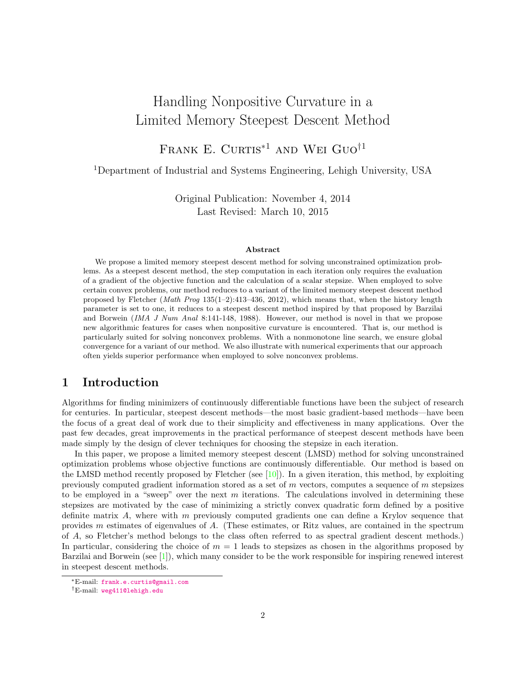## Handling Nonpositive Curvature in a Limited Memory Steepest Descent Method

FRANK E. CURTIS<sup>\*1</sup> AND WEI GUO<sup>†1</sup>

<sup>1</sup>Department of Industrial and Systems Engineering, Lehigh University, USA

Original Publication: November 4, 2014 Last Revised: March 10, 2015

#### Abstract

We propose a limited memory steepest descent method for solving unconstrained optimization problems. As a steepest descent method, the step computation in each iteration only requires the evaluation of a gradient of the objective function and the calculation of a scalar stepsize. When employed to solve certain convex problems, our method reduces to a variant of the limited memory steepest descent method proposed by Fletcher (Math Prog 135(1–2):413–436, 2012), which means that, when the history length parameter is set to one, it reduces to a steepest descent method inspired by that proposed by Barzilai and Borwein (IMA J Num Anal 8:141-148, 1988). However, our method is novel in that we propose new algorithmic features for cases when nonpositive curvature is encountered. That is, our method is particularly suited for solving nonconvex problems. With a nonmonotone line search, we ensure global convergence for a variant of our method. We also illustrate with numerical experiments that our approach often yields superior performance when employed to solve nonconvex problems.

## 1 Introduction

Algorithms for finding minimizers of continuously differentiable functions have been the subject of research for centuries. In particular, steepest descent methods—the most basic gradient-based methods—have been the focus of a great deal of work due to their simplicity and effectiveness in many applications. Over the past few decades, great improvements in the practical performance of steepest descent methods have been made simply by the design of clever techniques for choosing the stepsize in each iteration.

In this paper, we propose a limited memory steepest descent (LMSD) method for solving unconstrained optimization problems whose objective functions are continuously differentiable. Our method is based on the LMSD method recently proposed by Fletcher (see  $[10]$ ). In a given iteration, this method, by exploiting previously computed gradient information stored as a set of  $m$  vectors, computes a sequence of  $m$  stepsizes to be employed in a "sweep" over the next  $m$  iterations. The calculations involved in determining these stepsizes are motivated by the case of minimizing a strictly convex quadratic form defined by a positive definite matrix A, where with  $m$  previously computed gradients one can define a Krylov sequence that provides m estimates of eigenvalues of A. (These estimates, or Ritz values, are contained in the spectrum of A, so Fletcher's method belongs to the class often referred to as spectral gradient descent methods.) In particular, considering the choice of  $m = 1$  leads to stepsizes as chosen in the algorithms proposed by Barzilai and Borwein (see [\[1\]](#page-24-1)), which many consider to be the work responsible for inspiring renewed interest in steepest descent methods.

<sup>∗</sup>E-mail: [frank.e.curtis@gmail.com](mailto:frank.e.curtis@gmail.com)

<sup>†</sup>E-mail: [weg411@lehigh.edu](mailto:weg411@lehigh.edu)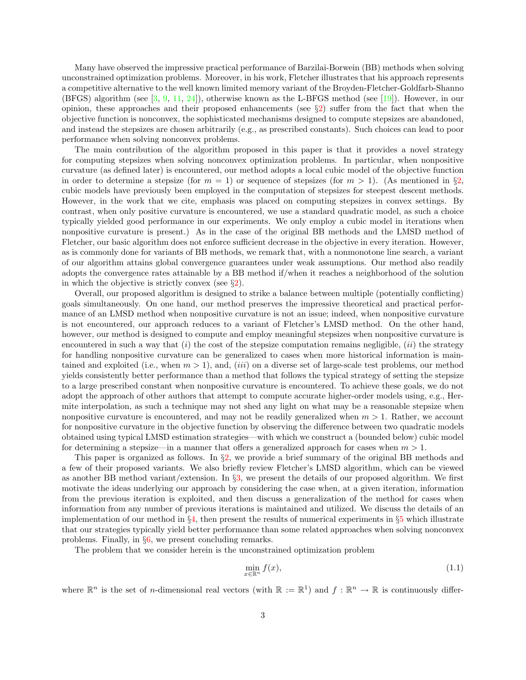Many have observed the impressive practical performance of Barzilai-Borwein (BB) methods when solving unconstrained optimization problems. Moreover, in his work, Fletcher illustrates that his approach represents a competitive alternative to the well known limited memory variant of the Broyden-Fletcher-Goldfarb-Shanno (BFGS) algorithm (see [\[3,](#page-24-2) [9,](#page-24-3) [11,](#page-24-4) [24\]](#page-25-0)), otherwise known as the L-BFGS method (see [\[19\]](#page-24-5)). However, in our opinion, these approaches and their proposed enhancements (see §[2\)](#page-3-0) suffer from the fact that when the objective function is nonconvex, the sophisticated mechanisms designed to compute stepsizes are abandoned, and instead the stepsizes are chosen arbitrarily (e.g., as prescribed constants). Such choices can lead to poor performance when solving nonconvex problems.

The main contribution of the algorithm proposed in this paper is that it provides a novel strategy for computing stepsizes when solving nonconvex optimization problems. In particular, when nonpositive curvature (as defined later) is encountered, our method adopts a local cubic model of the objective function in order to determine a stepsize (for  $m = 1$ ) or sequence of stepsizes (for  $m > 1$ ). (As mentioned in §[2,](#page-3-0) cubic models have previously been employed in the computation of stepsizes for steepest descent methods. However, in the work that we cite, emphasis was placed on computing stepsizes in convex settings. By contrast, when only positive curvature is encountered, we use a standard quadratic model, as such a choice typically yielded good performance in our experiments. We only employ a cubic model in iterations when nonpositive curvature is present.) As in the case of the original BB methods and the LMSD method of Fletcher, our basic algorithm does not enforce sufficient decrease in the objective in every iteration. However, as is commonly done for variants of BB methods, we remark that, with a nonmonotone line search, a variant of our algorithm attains global convergence guarantees under weak assumptions. Our method also readily adopts the convergence rates attainable by a BB method if/when it reaches a neighborhood of the solution in which the objective is strictly convex (see  $\S 2$ ).

Overall, our proposed algorithm is designed to strike a balance between multiple (potentially conflicting) goals simultaneously. On one hand, our method preserves the impressive theoretical and practical performance of an LMSD method when nonpositive curvature is not an issue; indeed, when nonpositive curvature is not encountered, our approach reduces to a variant of Fletcher's LMSD method. On the other hand, however, our method is designed to compute and employ meaningful stepsizes when nonpositive curvature is encountered in such a way that  $(i)$  the cost of the stepsize computation remains negligible,  $(ii)$  the strategy for handling nonpositive curvature can be generalized to cases when more historical information is maintained and exploited (i.e., when  $m > 1$ ), and, (*iii*) on a diverse set of large-scale test problems, our method yields consistently better performance than a method that follows the typical strategy of setting the stepsize to a large prescribed constant when nonpositive curvature is encountered. To achieve these goals, we do not adopt the approach of other authors that attempt to compute accurate higher-order models using, e.g., Hermite interpolation, as such a technique may not shed any light on what may be a reasonable stepsize when nonpositive curvature is encountered, and may not be readily generalized when  $m > 1$ . Rather, we account for nonpositive curvature in the objective function by observing the difference between two quadratic models obtained using typical LMSD estimation strategies—with which we construct a (bounded below) cubic model for determining a stepsize—in a manner that offers a generalized approach for cases when  $m > 1$ .

This paper is organized as follows. In  $\S2$ , we provide a brief summary of the original BB methods and a few of their proposed variants. We also briefly review Fletcher's LMSD algorithm, which can be viewed as another BB method variant/extension. In §[3,](#page-6-0) we present the details of our proposed algorithm. We first motivate the ideas underlying our approach by considering the case when, at a given iteration, information from the previous iteration is exploited, and then discuss a generalization of the method for cases when information from any number of previous iterations is maintained and utilized. We discuss the details of an implementation of our method in  $\S4$ , then present the results of numerical experiments in  $\S5$  $\S5$  which illustrate that our strategies typically yield better performance than some related approaches when solving nonconvex problems. Finally, in §[6,](#page-17-0) we present concluding remarks.

The problem that we consider herein is the unconstrained optimization problem

<span id="page-2-0"></span>
$$
\min_{x \in \mathbb{R}^n} f(x),\tag{1.1}
$$

where  $\mathbb{R}^n$  is the set of *n*-dimensional real vectors (with  $\mathbb{R} := \mathbb{R}^1$ ) and  $f : \mathbb{R}^n \to \mathbb{R}$  is continuously differ-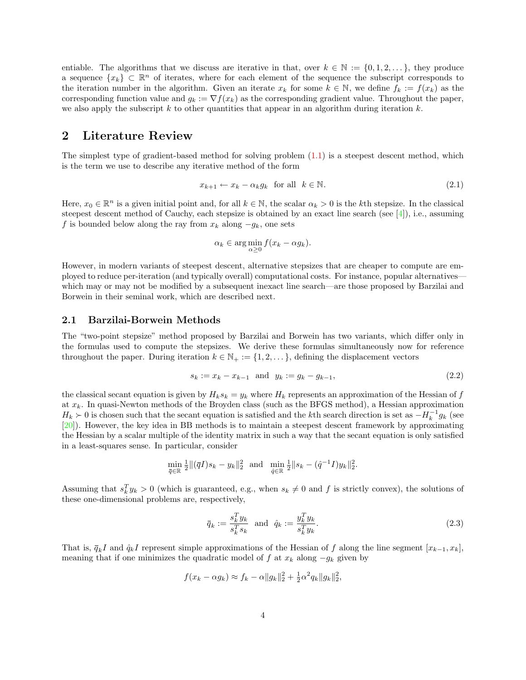entiable. The algorithms that we discuss are iterative in that, over  $k \in \mathbb{N} := \{0, 1, 2, \ldots\}$ , they produce a sequence  $\{x_k\} \subset \mathbb{R}^n$  of iterates, where for each element of the sequence the subscript corresponds to the iteration number in the algorithm. Given an iterate  $x_k$  for some  $k \in \mathbb{N}$ , we define  $f_k := f(x_k)$  as the corresponding function value and  $g_k := \nabla f(x_k)$  as the corresponding gradient value. Throughout the paper, we also apply the subscript  $k$  to other quantities that appear in an algorithm during iteration  $k$ .

## <span id="page-3-0"></span>2 Literature Review

The simplest type of gradient-based method for solving problem [\(1.1\)](#page-2-0) is a steepest descent method, which is the term we use to describe any iterative method of the form

<span id="page-3-1"></span>
$$
x_{k+1} \leftarrow x_k - \alpha_k g_k \quad \text{for all} \quad k \in \mathbb{N}.\tag{2.1}
$$

Here,  $x_0 \in \mathbb{R}^n$  is a given initial point and, for all  $k \in \mathbb{N}$ , the scalar  $\alpha_k > 0$  is the kth stepsize. In the classical steepest descent method of Cauchy, each stepsize is obtained by an exact line search (see [\[4\]](#page-24-6)), i.e., assuming f is bounded below along the ray from  $x_k$  along  $-q_k$ , one sets

$$
\alpha_k \in \arg\min_{\alpha \ge 0} f(x_k - \alpha g_k).
$$

However, in modern variants of steepest descent, alternative stepsizes that are cheaper to compute are employed to reduce per-iteration (and typically overall) computational costs. For instance, popular alternatives which may or may not be modified by a subsequent inexact line search—are those proposed by Barzilai and Borwein in their seminal work, which are described next.

#### 2.1 Barzilai-Borwein Methods

The "two-point stepsize" method proposed by Barzilai and Borwein has two variants, which differ only in the formulas used to compute the stepsizes. We derive these formulas simultaneously now for reference throughout the paper. During iteration  $k \in \mathbb{N}_+ := \{1, 2, \dots\}$ , defining the displacement vectors

<span id="page-3-3"></span>
$$
s_k := x_k - x_{k-1} \text{ and } y_k := g_k - g_{k-1}, \tag{2.2}
$$

the classical secant equation is given by  $H_k s_k = y_k$  where  $H_k$  represents an approximation of the Hessian of f at  $x_k$ . In quasi-Newton methods of the Broyden class (such as the BFGS method), a Hessian approximation  $H_k \succ 0$  is chosen such that the secant equation is satisfied and the kth search direction is set as  $-H_k^{-1}g_k$  (see [\[20\]](#page-25-1)). However, the key idea in BB methods is to maintain a steepest descent framework by approximating the Hessian by a scalar multiple of the identity matrix in such a way that the secant equation is only satisfied in a least-squares sense. In particular, consider

$$
\min_{\overline{q} \in \mathbb{R}} \frac{1}{2} \|(\overline{q}I)s_k - y_k\|_2^2 \text{ and } \min_{\hat{q} \in \mathbb{R}} \frac{1}{2} \|s_k - (\hat{q}^{-1}I)y_k\|_2^2.
$$

Assuming that  $s_k^T y_k > 0$  (which is guaranteed, e.g., when  $s_k \neq 0$  and f is strictly convex), the solutions of these one-dimensional problems are, respectively,

<span id="page-3-2"></span>
$$
\bar{q}_k := \frac{s_k^T y_k}{s_k^T s_k} \quad \text{and} \quad \hat{q}_k := \frac{y_k^T y_k}{s_k^T y_k}.\tag{2.3}
$$

That is,  $\bar{q}_k I$  and  $\hat{q}_k I$  represent simple approximations of the Hessian of f along the line segment  $[x_{k-1}, x_k]$ , meaning that if one minimizes the quadratic model of f at  $x_k$  along  $-g_k$  given by

$$
f(x_k - \alpha g_k) \approx f_k - \alpha \|g_k\|_2^2 + \frac{1}{2} \alpha^2 q_k \|g_k\|_2^2,
$$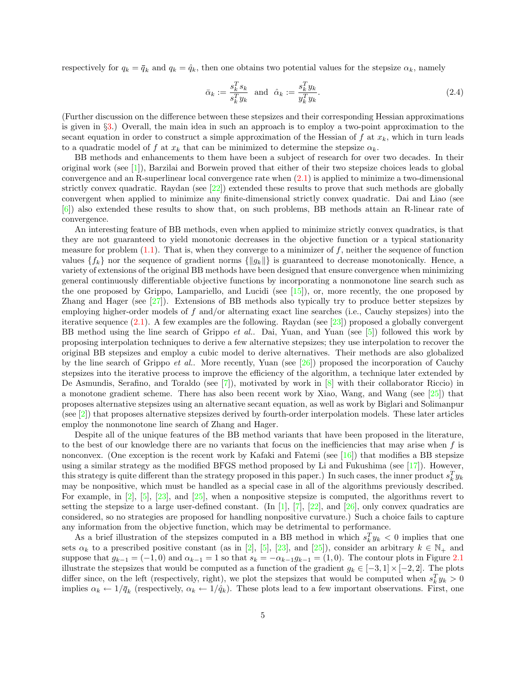respectively for  $q_k = \bar{q}_k$  and  $q_k = \hat{q}_k$ , then one obtains two potential values for the stepsize  $\alpha_k$ , namely

<span id="page-4-0"></span>
$$
\bar{\alpha}_k := \frac{s_k^T s_k}{s_k^T y_k} \quad \text{and} \quad \hat{\alpha}_k := \frac{s_k^T y_k}{y_k^T y_k}.\tag{2.4}
$$

(Further discussion on the difference between these stepsizes and their corresponding Hessian approximations is given in §[3.](#page-6-0)) Overall, the main idea in such an approach is to employ a two-point approximation to the secant equation in order to construct a simple approximation of the Hessian of f at  $x_k$ , which in turn leads to a quadratic model of f at  $x_k$  that can be minimized to determine the stepsize  $\alpha_k$ .

BB methods and enhancements to them have been a subject of research for over two decades. In their original work (see [\[1\]](#page-24-1)), Barzilai and Borwein proved that either of their two stepsize choices leads to global convergence and an R-superlinear local convergence rate when [\(2.1\)](#page-3-1) is applied to minimize a two-dimensional strictly convex quadratic. Raydan (see  $[22]$ ) extended these results to prove that such methods are globally convergent when applied to minimize any finite-dimensional strictly convex quadratic. Dai and Liao (see [\[6\]](#page-24-7)) also extended these results to show that, on such problems, BB methods attain an R-linear rate of convergence.

An interesting feature of BB methods, even when applied to minimize strictly convex quadratics, is that they are not guaranteed to yield monotonic decreases in the objective function or a typical stationarity measure for problem  $(1.1)$ . That is, when they converge to a minimizer of f, neither the sequence of function values  ${f_k}$  nor the sequence of gradient norms  ${||g_k||}$  is guaranteed to decrease monotonically. Hence, a variety of extensions of the original BB methods have been designed that ensure convergence when minimizing general continuously differentiable objective functions by incorporating a nonmonotone line search such as the one proposed by Grippo, Lampariello, and Lucidi (see  $[15]$ ), or, more recently, the one proposed by Zhang and Hager (see [\[27\]](#page-25-3)). Extensions of BB methods also typically try to produce better stepsizes by employing higher-order models of f and/or alternating exact line searches (i.e., Cauchy stepsizes) into the iterative sequence [\(2.1\)](#page-3-1). A few examples are the following. Raydan (see [\[23\]](#page-25-4)) proposed a globally convergent BB method using the line search of Grippo *et al.*. Dai, Yuan, and Yuan (see [\[5\]](#page-24-9)) followed this work by proposing interpolation techniques to derive a few alternative stepsizes; they use interpolation to recover the original BB stepsizes and employ a cubic model to derive alternatives. Their methods are also globalized by the line search of Grippo *et al..* More recently, Yuan (see [\[26\]](#page-25-5)) proposed the incorporation of Cauchy stepsizes into the iterative process to improve the efficiency of the algorithm, a technique later extended by De Asmundis, Serafino, and Toraldo (see [\[7\]](#page-24-10)), motivated by work in [\[8\]](#page-24-11) with their collaborator Riccio) in a monotone gradient scheme. There has also been recent work by Xiao, Wang, and Wang (see  $\lceil 25 \rceil$ ) that proposes alternative stepsizes using an alternative secant equation, as well as work by Biglari and Solimanpur (see  $[2]$ ) that proposes alternative stepsizes derived by fourth-order interpolation models. These later articles employ the nonmonotone line search of Zhang and Hager.

Despite all of the unique features of the BB method variants that have been proposed in the literature, to the best of our knowledge there are no variants that focus on the inefficiencies that may arise when  $f$  is nonconvex. (One exception is the recent work by Kafaki and Fatemi (see [\[16\]](#page-24-13)) that modifies a BB stepsize using a similar strategy as the modified BFGS method proposed by Li and Fukushima (see [\[17\]](#page-24-14)). However, this strategy is quite different than the strategy proposed in this paper.) In such cases, the inner product  $s_k^T y_k$ may be nonpositive, which must be handled as a special case in all of the algorithms previously described. For example, in [\[2\]](#page-24-12), [\[5\]](#page-24-9), [\[23\]](#page-25-4), and [\[25\]](#page-25-6), when a nonpositive stepsize is computed, the algorithms revert to setting the stepsize to a large user-defined constant. (In [\[1\]](#page-24-1), [\[7\]](#page-24-10), [\[22\]](#page-25-2), and [\[26\]](#page-25-5), only convex quadratics are considered, so no strategies are proposed for handling nonpositive curvature.) Such a choice fails to capture any information from the objective function, which may be detrimental to performance.

As a brief illustration of the stepsizes computed in a BB method in which  $s_k^T y_k < 0$  implies that one sets  $\alpha_k$  to a prescribed positive constant (as in [\[2\]](#page-24-12), [\[5\]](#page-24-9), [\[23\]](#page-25-4), and [\[25\]](#page-25-6)), consider an arbitrary  $k \in \mathbb{N}_+$  and suppose that  $g_{k-1} = (-1,0)$  and  $\alpha_{k-1} = 1$  so that  $s_k = -\alpha_{k-1}g_{k-1} = (1,0)$ . The contour plots in Figure [2.1](#page-4-0) illustrate the stepsizes that would be computed as a function of the gradient  $g_k \in [-3,1] \times [-2,2]$ . The plots differ since, on the left (respectively, right), we plot the stepsizes that would be computed when  $s_k^T y_k > 0$ implies  $\alpha_k \leftarrow 1/\bar{q}_k$  (respectively,  $\alpha_k \leftarrow 1/\hat{q}_k$ ). These plots lead to a few important observations. First, one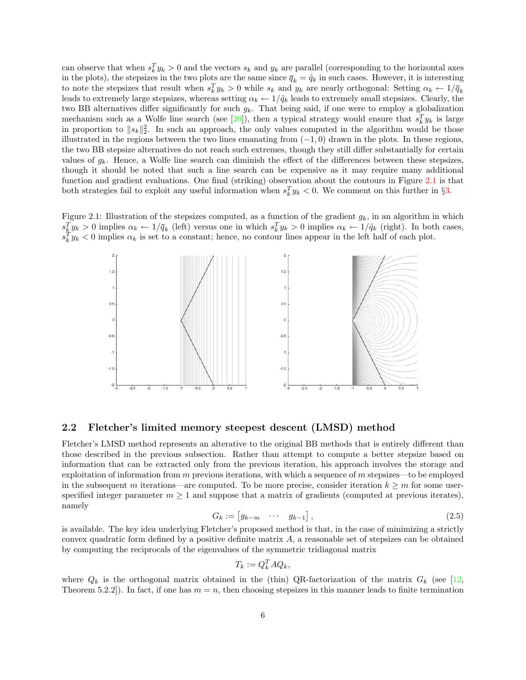can observe that when  $s_k^T y_k > 0$  and the vectors  $s_k$  and  $y_k$  are parallel (corresponding to the horizontal axes in the plots), the stepsizes in the two plots are the same since  $\bar{q}_k = \hat{q}_k$  in such cases. However, it is interesting to note the stepsizes that result when  $s_k^T y_k > 0$  while  $s_k$  and  $y_k$  are nearly orthogonal: Setting  $\alpha_k \leftarrow 1/\bar{q}_k$ leads to extremely large stepsizes, whereas setting  $\alpha_k \leftarrow 1/\hat{q}_k$  leads to extremely small stepsizes. Clearly, the two BB alternatives differ significantly for such  $g_k$ . That being said, if one were to employ a globalization mechanism such as a Wolfe line search (see [\[20\]](#page-25-1)), then a typical strategy would ensure that  $s_k^T y_k$  is large in proportion to  $||s_k||_2^2$ . In such an approach, the only values computed in the algorithm would be those illustrated in the regions between the two lines emanating from  $(-1, 0)$  drawn in the plots. In these regions, the two BB stepsize alternatives do not reach such extremes, though they still differ substantially for certain values of  $g_k$ . Hence, a Wolfe line search can diminish the effect of the differences between these stepsizes, though it should be noted that such a line search can be expensive as it may require many additional function and gradient evaluations. One final (striking) observation about the contours in Figure [2.1](#page-4-0) is that both strategies fail to exploit any useful information when  $s_k^T y_k < 0$ . We comment on this further in §[3.](#page-6-0)

Figure 2.1: Illustration of the stepsizes computed, as a function of the gradient  $g_k$ , in an algorithm in which  $s_k^T y_k > 0$  implies  $\alpha_k \leftarrow 1/\bar{q}_k$  (left) versus one in which  $s_k^T y_k > 0$  implies  $\alpha_k \leftarrow 1/\hat{q}_k$  (right). In both cases,  $s_k^T y_k < 0$  implies  $\alpha_k$  is set to a constant; hence, no contour lines appear in the left half of each plot.



#### 2.2 Fletcher's limited memory steepest descent (LMSD) method

Fletcher's LMSD method represents an alterative to the original BB methods that is entirely different than those described in the previous subsection. Rather than attempt to compute a better stepsize based on information that can be extracted only from the previous iteration, his approach involves the storage and exploitation of information from  $m$  previous iterations, with which a sequence of  $m$  stepsizes—to be employed in the subsequent m iterations—are computed. To be more precise, consider iteration  $k \geq m$  for some userspecified integer parameter  $m \geq 1$  and suppose that a matrix of gradients (computed at previous iterates), namely

$$
G_k := \begin{bmatrix} g_{k-m} & \cdots & g_{k-1} \end{bmatrix},\tag{2.5}
$$

<span id="page-5-0"></span>is available. The key idea underlying Fletcher's proposed method is that, in the case of minimizing a strictly convex quadratic form defined by a positive definite matrix  $A$ , a reasonable set of stepsizes can be obtained by computing the reciprocals of the eigenvalues of the symmetric tridiagonal matrix

$$
T_k := Q_k^T A Q_k,
$$

where  $Q_k$  is the orthogonal matrix obtained in the (thin) QR-factorization of the matrix  $G_k$  (see [\[12,](#page-24-15) Theorem 5.2.2]). In fact, if one has  $m = n$ , then choosing stepsizes in this manner leads to finite termination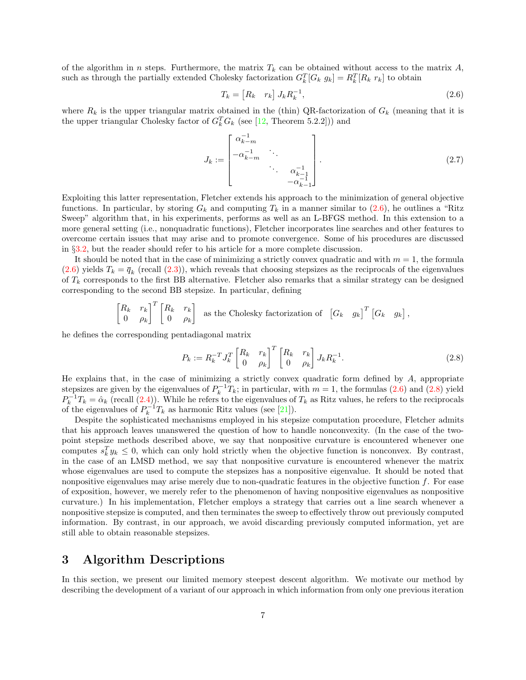of the algorithm in n steps. Furthermore, the matrix  $T_k$  can be obtained without access to the matrix  $A$ , such as through the partially extended Cholesky factorization  $G_k^T[G_k g_k] = R_k^T[R_k r_k]$  to obtain

<span id="page-6-3"></span><span id="page-6-1"></span>
$$
T_k = \begin{bmatrix} R_k & r_k \end{bmatrix} J_k R_k^{-1}, \tag{2.6}
$$

where  $R_k$  is the upper triangular matrix obtained in the (thin) QR-factorization of  $G_k$  (meaning that it is the upper triangular Cholesky factor of  $G_k^T G_k$  (see [\[12,](#page-24-15) Theorem 5.2.2])) and

$$
J_k := \begin{bmatrix} \alpha_{k-m}^{-1} & & & \\ -\alpha_{k-m}^{-1} & \ddots & & \\ & \ddots & \alpha_{k-1}^{-1} \\ & & -\alpha_{k-1}^{-1} \end{bmatrix} .
$$
 (2.7)

Exploiting this latter representation, Fletcher extends his approach to the minimization of general objective functions. In particular, by storing  $G_k$  and computing  $T_k$  in a manner similar to [\(2.6\)](#page-6-1), he outlines a "Ritz Sweep" algorithm that, in his experiments, performs as well as an L-BFGS method. In this extension to a more general setting (i.e., nonquadratic functions), Fletcher incorporates line searches and other features to overcome certain issues that may arise and to promote convergence. Some of his procedures are discussed in §[3.2,](#page-10-0) but the reader should refer to his article for a more complete discussion.

It should be noted that in the case of minimizing a strictly convex quadratic and with  $m = 1$ , the formula  $(2.6)$  yields  $T_k = \bar{q}_k$  (recall  $(2.3)$ ), which reveals that choosing stepsizes as the reciprocals of the eigenvalues of  $T_k$  corresponds to the first BB alternative. Fletcher also remarks that a similar strategy can be designed corresponding to the second BB stepsize. In particular, defining

$$
\begin{bmatrix} R_k & r_k \ 0 & \rho_k \end{bmatrix}^T \begin{bmatrix} R_k & r_k \ 0 & \rho_k \end{bmatrix}
$$
 as the Cholesky factorization of  $\begin{bmatrix} G_k & g_k \end{bmatrix}^T \begin{bmatrix} G_k & g_k \end{bmatrix}$ ,

he defines the corresponding pentadiagonal matrix

<span id="page-6-2"></span>
$$
P_k := R_k^{-T} J_k^T \begin{bmatrix} R_k & r_k \\ 0 & \rho_k \end{bmatrix}^T \begin{bmatrix} R_k & r_k \\ 0 & \rho_k \end{bmatrix} J_k R_k^{-1}.\tag{2.8}
$$

He explains that, in the case of minimizing a strictly convex quadratic form defined by  $A$ , appropriate stepsizes are given by the eigenvalues of  $P_k^{-1}T_k$ ; in particular, with  $m = 1$ , the formulas [\(2.6\)](#page-6-1) and [\(2.8\)](#page-6-2) yield  $P_k^{-1}T_k = \hat{\alpha}_k$  (recall [\(2.4\)](#page-4-0)). While he refers to the eigenvalues of  $T_k$  as Ritz values, he refers to the reciprocals of the eigenvalues of  $P_k^{-1}T_k$  as harmonic Ritz values (see [\[21\]](#page-25-7)).

Despite the sophisticated mechanisms employed in his stepsize computation procedure, Fletcher admits that his approach leaves unanswered the question of how to handle nonconvexity. (In the case of the twopoint stepsize methods described above, we say that nonpositive curvature is encountered whenever one computes  $s_k^T y_k \leq 0$ , which can only hold strictly when the objective function is nonconvex. By contrast, in the case of an LMSD method, we say that nonpositive curvature is encountered whenever the matrix whose eigenvalues are used to compute the stepsizes has a nonpositive eigenvalue. It should be noted that nonpositive eigenvalues may arise merely due to non-quadratic features in the objective function  $f$ . For ease of exposition, however, we merely refer to the phenomenon of having nonpositive eigenvalues as nonpositive curvature.) In his implementation, Fletcher employs a strategy that carries out a line search whenever a nonpositive stepsize is computed, and then terminates the sweep to effectively throw out previously computed information. By contrast, in our approach, we avoid discarding previously computed information, yet are still able to obtain reasonable stepsizes.

### <span id="page-6-0"></span>3 Algorithm Descriptions

In this section, we present our limited memory steepest descent algorithm. We motivate our method by describing the development of a variant of our approach in which information from only one previous iteration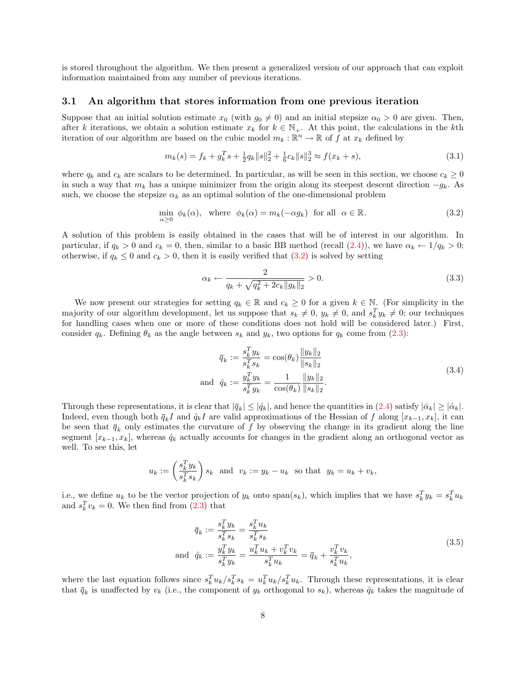is stored throughout the algorithm. We then present a generalized version of our approach that can exploit information maintained from any number of previous iterations.

#### <span id="page-7-4"></span>3.1 An algorithm that stores information from one previous iteration

Suppose that an initial solution estimate  $x_0$  (with  $g_0 \neq 0$ ) and an initial stepsize  $\alpha_0 > 0$  are given. Then, after k iterations, we obtain a solution estimate  $x_k$  for  $k \in \mathbb{N}_+$ . At this point, the calculations in the kth iteration of our algorithm are based on the cubic model  $m_k : \mathbb{R}^n \to \mathbb{R}$  of f at  $x_k$  defined by

$$
m_k(s) = f_k + g_k^T s + \frac{1}{2} q_k \|s\|_2^2 + \frac{1}{6} c_k \|s\|_2^3 \approx f(x_k + s),\tag{3.1}
$$

where  $q_k$  and  $c_k$  are scalars to be determined. In particular, as will be seen in this section, we choose  $c_k \geq 0$ in such a way that  $m_k$  has a unique minimizer from the origin along its steepest descent direction  $-g_k$ . As such, we choose the stepsize  $\alpha_k$  as an optimal solution of the one-dimensional problem

$$
\min_{\alpha \ge 0} \phi_k(\alpha), \quad \text{where} \quad \phi_k(\alpha) = m_k(-\alpha g_k) \quad \text{for all} \quad \alpha \in \mathbb{R}.
$$
\n(3.2)

A solution of this problem is easily obtained in the cases that will be of interest in our algorithm. In particular, if  $q_k > 0$  and  $c_k = 0$ , then, similar to a basic BB method (recall  $(2.4)$ ), we have  $\alpha_k \leftarrow 1/q_k > 0$ ; otherwise, if  $q_k \leq 0$  and  $c_k > 0$ , then it is easily verified that  $(3.2)$  is solved by setting

<span id="page-7-3"></span><span id="page-7-0"></span>
$$
\alpha_k \leftarrow \frac{2}{q_k + \sqrt{q_k^2 + 2c_k \|g_k\|_2}} > 0. \tag{3.3}
$$

We now present our strategies for setting  $q_k \in \mathbb{R}$  and  $c_k \geq 0$  for a given  $k \in \mathbb{N}$ . (For simplicity in the majority of our algorithm development, let us suppose that  $s_k \neq 0$ ,  $y_k \neq 0$ , and  $s_k^T y_k \neq 0$ ; our techniques for handling cases when one or more of these conditions does not hold will be considered later.) First, consider  $q_k$ . Defining  $\theta_k$  as the angle between  $s_k$  and  $y_k$ , two options for  $q_k$  come from [\(2.3\)](#page-3-2):

<span id="page-7-1"></span>
$$
\bar{q}_k := \frac{s_k^T y_k}{s_k^T s_k} = \cos(\theta_k) \frac{\|y_k\|_2}{\|s_k\|_2}
$$
  
and 
$$
\hat{q}_k := \frac{y_k^T y_k}{s_k^T y_k} = \frac{1}{\cos(\theta_k)} \frac{\|y_k\|_2}{\|s_k\|_2}.
$$
 (3.4)

Through these representations, it is clear that  $|\bar{q}_k| \leq |\hat{q}_k|$ , and hence the quantities in  $(2.4)$  satisfy  $|\bar{\alpha}_k| \geq |\hat{\alpha}_k|$ . Indeed, even though both  $\bar{q}_k I$  and  $\hat{q}_k I$  are valid approximations of the Hessian of f along  $[x_{k-1}, x_k]$ , it can be seen that  $\bar{q}_k$  only estimates the curvature of f by observing the change in its gradient along the line segment  $[x_{k-1}, x_k]$ , whereas  $\hat{q}_k$  actually accounts for changes in the gradient along an orthogonal vector as well. To see this, let

$$
u_k := \left(\frac{s_k^T y_k}{s_k^T s_k}\right) s_k \text{ and } v_k := y_k - u_k \text{ so that } y_k = u_k + v_k,
$$

i.e., we define  $u_k$  to be the vector projection of  $y_k$  onto  $\text{span}(s_k)$ , which implies that we have  $s_k^T y_k = s_k^T u_k$ and  $s_k^T v_k = 0$ . We then find from  $(2.3)$  that

<span id="page-7-2"></span>
$$
\bar{q}_k := \frac{s_k^T y_k}{s_k^T s_k} = \frac{s_k^T u_k}{s_k^T s_k} \n\text{and} \quad \hat{q}_k := \frac{y_k^T y_k}{s_k^T y_k} = \frac{u_k^T u_k + v_k^T v_k}{s_k^T u_k} = \bar{q}_k + \frac{v_k^T v_k}{s_k^T u_k},
$$
\n(3.5)

where the last equation follows since  $s_k^T u_k / s_k^T s_k = u_k^T u_k / s_k^T u_k$ . Through these representations, it is clear that  $\bar{q}_k$  is unaffected by  $v_k$  (i.e., the component of  $y_k$  orthogonal to  $s_k$ ), whereas  $\hat{q}_k$  takes the magnitude of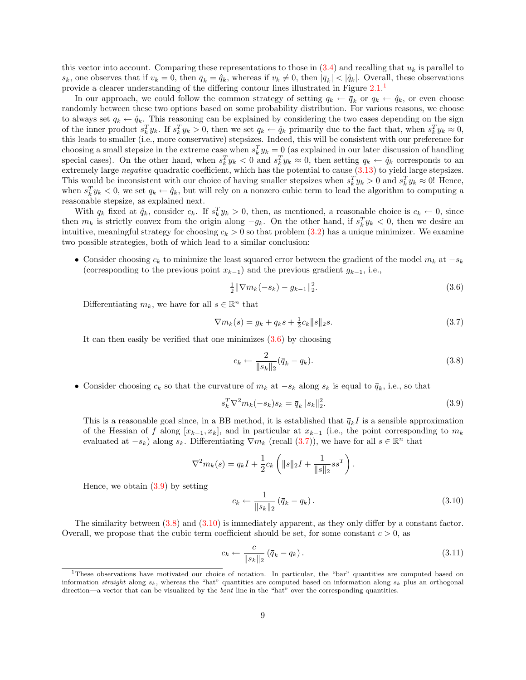this vector into account. Comparing these representations to those in  $(3.4)$  and recalling that  $u_k$  is parallel to  $s_k$ , one observes that if  $v_k = 0$ , then  $\bar{q}_k = \hat{q}_k$ , whereas if  $v_k \neq 0$ , then  $|\bar{q}_k| < |\hat{q}_k|$ . Overall, these observations provide a clearer understanding of the differing contour lines illustrated in Figure [2.1.](#page-4-0)<sup>[1](#page-8-0)</sup>

In our approach, we could follow the common strategy of setting  $q_k \leftarrow \bar{q}_k$  or  $q_k \leftarrow \hat{q}_k$ , or even choose randomly between these two options based on some probability distribution. For various reasons, we choose to always set  $q_k \leftarrow \hat{q}_k$ . This reasoning can be explained by considering the two cases depending on the sign of the inner product  $s_k^T y_k$ . If  $s_k^T y_k > 0$ , then we set  $q_k \leftarrow \hat{q}_k$  primarily due to the fact that, when  $s_k^T y_k \approx 0$ , this leads to smaller (i.e., more conservative) stepsizes. Indeed, this will be consistent with our preference for choosing a small stepsize in the extreme case when  $s_k^T y_k = 0$  (as explained in our later discussion of handling special cases). On the other hand, when  $s_k^T y_k < 0$  and  $s_k^T y_k \approx 0$ , then setting  $q_k \leftarrow \hat{q}_k$  corresponds to an extremely large *negative* quadratic coefficient, which has the potential to cause  $(3.13)$  to yield large stepsizes. This would be inconsistent with our choice of having smaller stepsizes when  $s_k^T y_k > 0$  and  $s_k^T y_k \approx 0$ ! Hence, when  $s_k^T y_k < 0$ , we set  $q_k \leftarrow \hat{q}_k$ , but will rely on a nonzero cubic term to lead the algorithm to computing a reasonable stepsize, as explained next.

With  $q_k$  fixed at  $\hat{q}_k$ , consider  $c_k$ . If  $s_k^T y_k > 0$ , then, as mentioned, a reasonable choice is  $c_k \leftarrow 0$ , since then  $m_k$  is strictly convex from the origin along  $-g_k$ . On the other hand, if  $s_k^T y_k < 0$ , then we desire an intuitive, meaningful strategy for choosing  $c_k > 0$  so that problem [\(3.2\)](#page-7-0) has a unique minimizer. We examine two possible strategies, both of which lead to a similar conclusion:

• Consider choosing  $c_k$  to minimize the least squared error between the gradient of the model  $m_k$  at  $-s_k$ (corresponding to the previous point  $x_{k-1}$ ) and the previous gradient  $g_{k-1}$ , i.e.,

<span id="page-8-2"></span><span id="page-8-1"></span>
$$
\frac{1}{2} \|\nabla m_k(-s_k) - g_{k-1}\|_2^2. \tag{3.6}
$$

Differentiating  $m_k$ , we have for all  $s \in \mathbb{R}^n$  that

$$
\nabla m_k(s) = g_k + q_k s + \frac{1}{2} c_k \|s\|_2 s. \tag{3.7}
$$

It can then easily be verified that one minimizes  $(3.6)$  by choosing

<span id="page-8-4"></span>
$$
c_k \leftarrow \frac{2}{\|s_k\|_2} (\bar{q}_k - q_k). \tag{3.8}
$$

• Consider choosing  $c_k$  so that the curvature of  $m_k$  at  $-s_k$  along  $s_k$  is equal to  $\bar{q}_k$ , i.e., so that

$$
s_k^T \nabla^2 m_k(-s_k) s_k = \bar{q}_k \|s_k\|_2^2.
$$
\n(3.9)

This is a reasonable goal since, in a BB method, it is established that  $\bar{q}_k I$  is a sensible approximation of the Hessian of f along  $[x_{k-1}, x_k]$ , and in particular at  $x_{k-1}$  (i.e., the point corresponding to  $m_k$ evaluated at  $-s_k$ ) along  $s_k$ . Differentiating  $\nabla m_k$  (recall [\(3.7\)](#page-8-2)), we have for all  $s \in \mathbb{R}^n$  that

$$
\nabla^2 m_k(s) = q_k I + \frac{1}{2} c_k \left( \|s\|_2 I + \frac{1}{\|s\|_2} s s^T \right)
$$

Hence, we obtain  $(3.9)$  by setting

<span id="page-8-5"></span>
$$
c_k \leftarrow \frac{1}{\|s_k\|_2} (\bar{q}_k - q_k). \tag{3.10}
$$

<span id="page-8-6"></span><span id="page-8-3"></span>.

The similarity between [\(3.8\)](#page-8-4) and [\(3.10\)](#page-8-5) is immediately apparent, as they only differ by a constant factor. Overall, we propose that the cubic term coefficient should be set, for some constant  $c > 0$ , as

$$
c_k \leftarrow \frac{c}{\|s_k\|_2} \left(\overline{q}_k - q_k\right). \tag{3.11}
$$

<span id="page-8-0"></span><sup>1</sup>These observations have motivated our choice of notation. In particular, the "bar" quantities are computed based on information straight along  $s_k$ , whereas the "hat" quantities are computed based on information along  $s_k$  plus an orthogonal direction—a vector that can be visualized by the *bent* line in the "hat" over the corresponding quantities.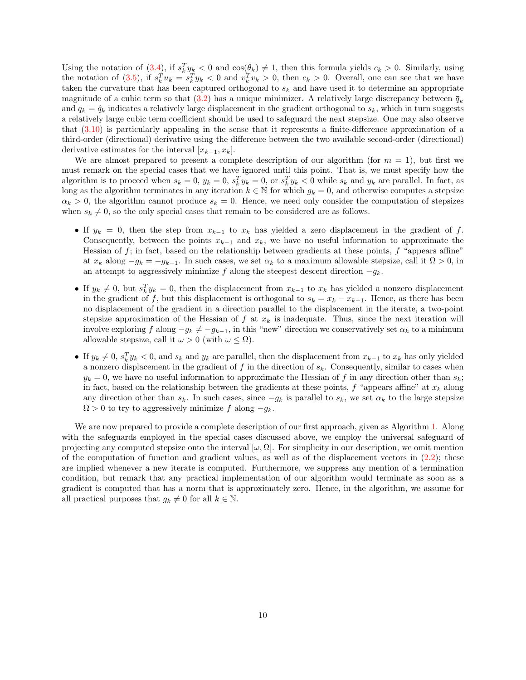Using the notation of  $(3.4)$ , if  $s_k^T y_k < 0$  and  $\cos(\theta_k) \neq 1$ , then this formula yields  $c_k > 0$ . Similarly, using the notation of [\(3.5\)](#page-7-2), if  $s_k^T u_k = s_k^T y_k < 0$  and  $v_k^T v_k > 0$ , then  $c_k > 0$ . Overall, one can see that we have taken the curvature that has been captured orthogonal to  $s_k$  and have used it to determine an appropriate magnitude of a cubic term so that [\(3.2\)](#page-7-0) has a unique minimizer. A relatively large discrepancy between  $\bar{q}_k$ and  $q_k = \hat{q}_k$  indicates a relatively large displacement in the gradient orthogonal to  $s_k$ , which in turn suggests a relatively large cubic term coefficient should be used to safeguard the next stepsize. One may also observe that [\(3.10\)](#page-8-5) is particularly appealing in the sense that it represents a finite-difference approximation of a third-order (directional) derivative using the difference between the two available second-order (directional) derivative estimates for the interval  $[x_{k-1}, x_k]$ .

We are almost prepared to present a complete description of our algorithm (for  $m = 1$ ), but first we must remark on the special cases that we have ignored until this point. That is, we must specify how the algorithm is to proceed when  $s_k = 0$ ,  $y_k = 0$ ,  $s_k^T y_k = 0$ , or  $s_k^T y_k < 0$  while  $s_k$  and  $y_k$  are parallel. In fact, as long as the algorithm terminates in any iteration  $k \in \mathbb{N}$  for which  $g_k = 0$ , and otherwise computes a stepsize  $\alpha_k > 0$ , the algorithm cannot produce  $s_k = 0$ . Hence, we need only consider the computation of stepsizes when  $s_k \neq 0$ , so the only special cases that remain to be considered are as follows.

- If  $y_k = 0$ , then the step from  $x_{k-1}$  to  $x_k$  has yielded a zero displacement in the gradient of f. Consequently, between the points  $x_{k-1}$  and  $x_k$ , we have no useful information to approximate the Hessian of  $f$ ; in fact, based on the relationship between gradients at these points,  $f$  "appears affine" at  $x_k$  along  $-g_k = -g_{k-1}$ . In such cases, we set  $\alpha_k$  to a maximum allowable stepsize, call it  $\Omega > 0$ , in an attempt to aggressively minimize f along the steepest descent direction  $-q_k$ .
- If  $y_k \neq 0$ , but  $s_k^T y_k = 0$ , then the displacement from  $x_{k-1}$  to  $x_k$  has yielded a nonzero displacement in the gradient of f, but this displacement is orthogonal to  $s_k = x_k - x_{k-1}$ . Hence, as there has been no displacement of the gradient in a direction parallel to the displacement in the iterate, a two-point stepsize approximation of the Hessian of f at  $x_k$  is inadequate. Thus, since the next iteration will involve exploring f along  $-g_k \neq -g_{k-1}$ , in this "new" direction we conservatively set  $\alpha_k$  to a minimum allowable stepsize, call it  $\omega > 0$  (with  $\omega \leq \Omega$ ).
- If  $y_k \neq 0$ ,  $s_k^T y_k < 0$ , and  $s_k$  and  $y_k$  are parallel, then the displacement from  $x_{k-1}$  to  $x_k$  has only yielded a nonzero displacement in the gradient of f in the direction of  $s_k$ . Consequently, similar to cases when  $y_k = 0$ , we have no useful information to approximate the Hessian of f in any direction other than  $s_k$ ; in fact, based on the relationship between the gradients at these points, f "appears affine" at  $x_k$  along any direction other than  $s_k$ . In such cases, since  $-g_k$  is parallel to  $s_k$ , we set  $\alpha_k$  to the large stepsize  $\Omega > 0$  to try to aggressively minimize f along  $-q_k$ .

We are now prepared to provide a complete description of our first approach, given as Algorithm [1.](#page-10-1) Along with the safeguards employed in the special cases discussed above, we employ the universal safeguard of projecting any computed stepsize onto the interval  $[\omega, \Omega]$ . For simplicity in our description, we omit mention of the computation of function and gradient values, as well as of the displacement vectors in  $(2.2)$ ; these are implied whenever a new iterate is computed. Furthermore, we suppress any mention of a termination condition, but remark that any practical implementation of our algorithm would terminate as soon as a gradient is computed that has a norm that is approximately zero. Hence, in the algorithm, we assume for all practical purposes that  $g_k \neq 0$  for all  $k \in \mathbb{N}$ .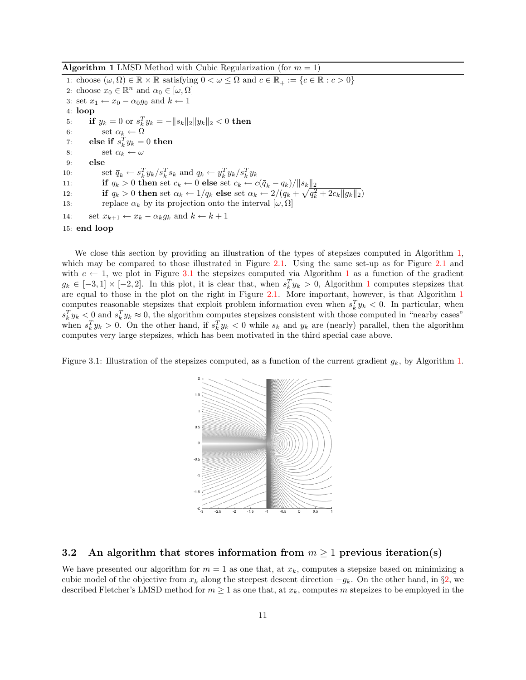**Algorithm 1** LMSD Method with Cubic Regularization (for  $m = 1$ )

<span id="page-10-1"></span>1: choose  $(\omega, \Omega) \in \mathbb{R} \times \mathbb{R}$  satisfying  $0 \lt \omega \leq \Omega$  and  $c \in \mathbb{R}_+ := \{c \in \mathbb{R} : c > 0\}$ 2: choose  $x_0 \in \mathbb{R}^n$  and  $\alpha_0 \in [\omega, \Omega]$ 3: set  $x_1 \leftarrow x_0 - \alpha_0 g_0$  and  $k \leftarrow 1$ 4: loop 5: if  $y_k = 0$  or  $s_k^T y_k = -||s_k||_2||y_k||_2 < 0$  then 6: set  $\alpha_k \leftarrow \Omega$ 7: else if  $s_k^T y_k = 0$  then 8: set  $\alpha_k \leftarrow \omega$ 9: else 10: set  $\bar{q}_k \leftarrow s_k^T y_k / s_k^T s_k$  and  $q_k \leftarrow y_k^T y_k / s_k^T y_k$ 11: **if**  $q_k > 0$  then set  $c_k \leftarrow 0$  else set  $c_k \leftarrow c(\overline{q}_k - q_k)/||s_k||_2$ 12: if  $q_k > 0$  then set  $\alpha_k \leftarrow 1/q_k$  else set  $\alpha_k \leftarrow 2/(q_k + \sqrt{q_k^2 + 2c_k||g_k||_2})$ 13: replace  $\alpha_k$  by its projection onto the interval  $[\omega, \Omega]$ 14: set  $x_{k+1} \leftarrow x_k - \alpha_k g_k$  and  $k \leftarrow k+1$ 15: end loop

We close this section by providing an illustration of the types of stepsizes computed in Algorithm [1,](#page-10-1) which may be compared to those illustrated in Figure [2.1.](#page-4-0) Using the same set-up as for Figure [2.1](#page-4-0) and with  $c \leftarrow 1$  $c \leftarrow 1$ , we plot in Figure [3.1](#page-10-1) the stepsizes computed via Algorithm 1 as a function of the gradient  $g_k \in [-3,1] \times [-2,2]$  $g_k \in [-3,1] \times [-2,2]$  $g_k \in [-3,1] \times [-2,2]$ . In this plot, it is clear that, when  $s_k^T y_k > 0$ , Algorithm 1 computes stepsizes that are equal to those in the plot on the right in Figure [2.1.](#page-4-0) More important, however, is that Algorithm [1](#page-10-1) computes reasonable stepsizes that exploit problem information even when  $s_k^T y_k < 0$ . In particular, when  $s_k^T y_k < 0$  and  $s_k^T y_k \approx 0$ , the algorithm computes stepsizes consistent with those computed in "nearby cases" when  $s_k^T y_k > 0$ . On the other hand, if  $s_k^T y_k < 0$  while  $s_k$  and  $y_k$  are (nearly) parallel, then the algorithm computes very large stepsizes, which has been motivated in the third special case above.

Figure 3.1: Illustration of the stepsizes computed, as a function of the current gradient  $g_k$ , by Algorithm [1.](#page-10-1)



#### <span id="page-10-0"></span>3.2 An algorithm that stores information from  $m \geq 1$  previous iteration(s)

We have presented our algorithm for  $m = 1$  as one that, at  $x_k$ , computes a stepsize based on minimizing a cubic model of the objective from  $x_k$  along the steepest descent direction  $-g_k$ . On the other hand, in §[2,](#page-3-0) we described Fletcher's LMSD method for  $m \geq 1$  as one that, at  $x_k$ , computes m stepsizes to be employed in the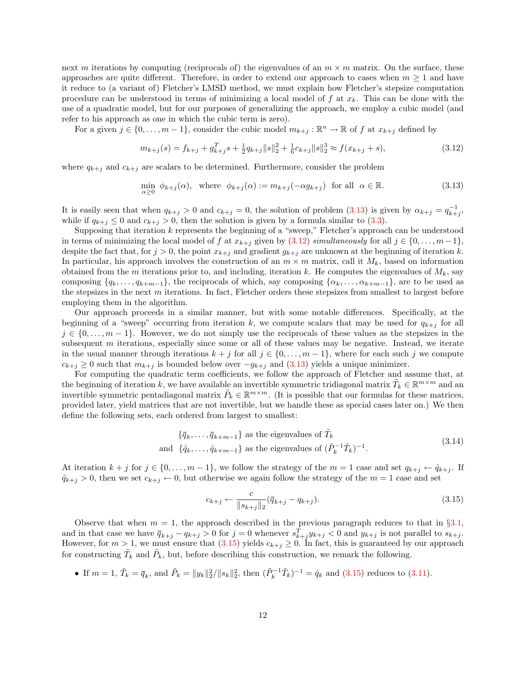next m iterations by computing (reciprocals of) the eigenvalues of an  $m \times m$  matrix. On the surface, these approaches are quite different. Therefore, in order to extend our approach to cases when  $m \geq 1$  and have it reduce to (a variant of) Fletcher's LMSD method, we must explain how Fletcher's stepsize computation procedure can be understood in terms of minimizing a local model of f at  $x_k$ . This can be done with the use of a quadratic model, but for our purposes of generalizing the approach, we employ a cubic model (and refer to his approach as one in which the cubic term is zero).

For a given  $j \in \{0, \ldots, m-1\}$ , consider the cubic model  $m_{k+j} : \mathbb{R}^n \to \mathbb{R}$  of f at  $x_{k+j}$  defined by

<span id="page-11-1"></span>
$$
m_{k+j}(s) = f_{k+j} + g_{k+j}^T s + \frac{1}{2} q_{k+j} ||s||_2^2 + \frac{1}{6} c_{k+j} ||s||_2^3 \approx f(x_{k+j} + s),
$$
\n(3.12)

where  $q_{k+j}$  and  $c_{k+j}$  are scalars to be determined. Furthermore, consider the problem

<span id="page-11-0"></span>
$$
\min_{\alpha \ge 0} \phi_{k+j}(\alpha), \quad \text{where} \quad \phi_{k+j}(\alpha) := m_{k+j}(-\alpha g_{k+j}) \quad \text{for all} \quad \alpha \in \mathbb{R}.\tag{3.13}
$$

It is easily seen that when  $q_{k+j} > 0$  and  $c_{k+j} = 0$ , the solution of problem  $(3.13)$  is given by  $\alpha_{k+j} = q_{k+j}^{-1}$ , while if  $q_{k+i} \leq 0$  and  $c_{k+i} > 0$ , then the solution is given by a formula similar to [\(3.3\)](#page-7-3).

Supposing that iteration k represents the beginning of a "sweep," Fletcher's approach can be understood in terms of minimizing the local model of f at  $x_{k+j}$  given by [\(3.12\)](#page-11-1) simultaneously for all  $j \in \{0, \ldots, m-1\}$ , despite the fact that, for  $j > 0$ , the point  $x_{k+j}$  and gradient  $g_{k+j}$  are unknown at the beginning of iteration k. In particular, his approach involves the construction of an  $m \times m$  matrix, call it  $M_k$ , based on information obtained from the m iterations prior to, and including, iteration k. He computes the eigenvalues of  $M_k$ , say composing  $\{q_k, \ldots, q_{k+m-1}\}\)$ , the reciprocals of which, say composing  $\{\alpha_k, \ldots, \alpha_{k+m-1}\}\)$ , are to be used as the stepsizes in the next  $m$  iterations. In fact, Fletcher orders these stepsizes from smallest to largest before employing them in the algorithm.

Our approach proceeds in a similar manner, but with some notable differences. Specifically, at the beginning of a "sweep" occurring from iteration k, we compute scalars that may be used for  $q_{k+j}$  for all  $j \in \{0, \ldots, m-1\}$ . However, we do not simply use the reciprocals of these values as the stepsizes in the subsequent  $m$  iterations, especially since some or all of these values may be negative. Instead, we iterate in the usual manner through iterations  $k + j$  for all  $j \in \{0, \ldots, m - 1\}$ , where for each such j we compute  $c_{k+j} \geq 0$  such that  $m_{k+j}$  is bounded below over  $-g_{k+j}$  and [\(3.13\)](#page-11-0) yields a unique minimizer.

For computing the quadratic term coefficients, we follow the approach of Fletcher and assume that, at the beginning of iteration k, we have available an invertible symmetric tridiagonal matrix  $\tilde{T}_k \in \mathbb{R}^{m \times m}$  and an invertible symmetric pentadiagonal matrix  $\tilde{P}_k \in \mathbb{R}^{m \times m}$ . (It is possible that our formulas for these matrices, provided later, yield matrices that are not invertible, but we handle these as special cases later on.) We then define the following sets, each ordered from largest to smallest:

$$
\{\bar{q}_k, \dots, \bar{q}_{k+m-1}\} \text{ as the eigenvalues of } \tilde{T}_k
$$
  
and  $\{\hat{q}_k, \dots, \hat{q}_{k+m-1}\}$  as the eigenvalues of  $(\tilde{P}_k^{-1}\tilde{T}_k)^{-1}$ . (3.14)

At iteration  $k + j$  for  $j \in \{0, \ldots, m-1\}$ , we follow the strategy of the  $m = 1$  case and set  $q_{k+j} \leftarrow \hat{q}_{k+j}$ . If  $\hat{q}_{k+j} > 0$ , then we set  $c_{k+j} \leftarrow 0$ , but otherwise we again follow the strategy of the  $m = 1$  case and set

<span id="page-11-3"></span><span id="page-11-2"></span>
$$
c_{k+j} \leftarrow \frac{c}{\|s_{k+j}\|_2} (\bar{q}_{k+j} - q_{k+j}).
$$
\n(3.15)

Observe that when  $m = 1$ , the approach described in the previous paragraph reduces to that in §[3.1,](#page-7-4) and in that case we have  $\bar{q}_{k+j} - q_{k+j} > 0$  for  $j = 0$  whenever  $s_{k+j}^T y_{k+j} < 0$  and  $y_{k+j}$  is not parallel to  $s_{k+j}$ . However, for  $m > 1$ , we must ensure that  $(3.15)$  yields  $c_{k+j} \geq 0$ . In fact, this is guaranteed by our approach for constructing  $\tilde{T}_k$  and  $\tilde{P}_k$ , but, before describing this construction, we remark the following.

• If  $m = 1$ ,  $\tilde{T}_k = \bar{q}_k$ , and  $\tilde{P}_k = ||y_k||_2^2/||s_k||_2^2$ , then  $(\tilde{P}_k^{-1}\tilde{T}_k)^{-1} = \hat{q}_k$  and  $(3.15)$  reduces to  $(3.11)$ .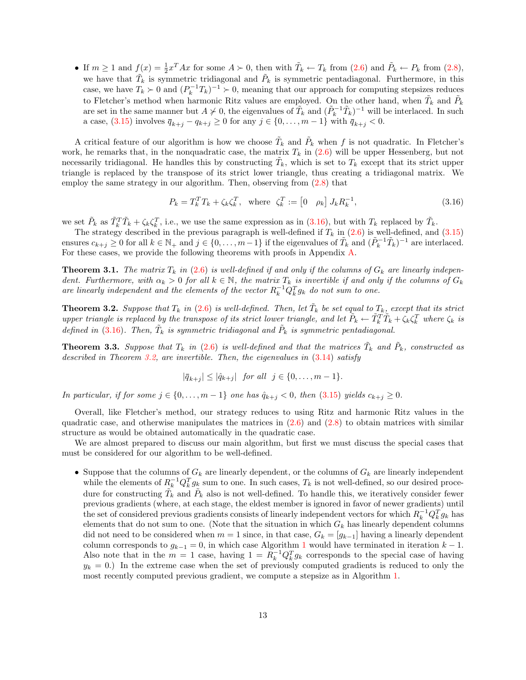• If  $m \ge 1$  and  $f(x) = \frac{1}{2}x^{T}Ax$  for some  $A \succ 0$ , then with  $\tilde{T}_k \leftarrow T_k$  from  $(2.6)$  and  $\tilde{P}_k \leftarrow P_k$  from  $(2.8)$ , we have that  $\tilde{T}_k$  is symmetric tridiagonal and  $\tilde{P}_k$  is symmetric pentadiagonal. Furthermore, in this case, we have  $T_k \succ 0$  and  $(P_k^{-1}T_k)^{-1} \succ 0$ , meaning that our approach for computing stepsizes reduces to Fletcher's method when harmonic Ritz values are employed. On the other hand, when  $\tilde{T}_k$  and  $\tilde{P}_k$ are set in the same manner but  $A \nsucc 0$ , the eigenvalues of  $\tilde{T}_k$  and  $(\tilde{P}_k^{-1}\tilde{T}_k)^{-1}$  will be interlaced. In such a case, [\(3.15\)](#page-11-2) involves  $\bar{q}_{k+j} - q_{k+j} \ge 0$  for any  $j \in \{0, ..., m-1\}$  with  $\bar{q}_{k+j} < 0$ .

A critical feature of our algorithm is how we choose  $\tilde{T}_k$  and  $\tilde{P}_k$  when f is not quadratic. In Fletcher's work, he remarks that, in the nonquadratic case, the matrix  $T_k$  in  $(2.6)$  will be upper Hessenberg, but not necessarily tridiagonal. He handles this by constructing  $\tilde{T}_k$ , which is set to  $T_k$  except that its strict upper triangle is replaced by the transpose of its strict lower triangle, thus creating a tridiagonal matrix. We employ the same strategy in our algorithm. Then, observing from [\(2.8\)](#page-6-2) that

<span id="page-12-0"></span>
$$
P_k = T_k^T T_k + \zeta_k \zeta_k^T, \quad \text{where} \quad \zeta_k^T := \begin{bmatrix} 0 & \rho_k \end{bmatrix} J_k R_k^{-1},\tag{3.16}
$$

we set  $\tilde{P}_k$  as  $\tilde{T}_k^T \tilde{T}_k + \zeta_k \zeta_k^T$ , i.e., we use the same expression as in [\(3.16\)](#page-12-0), but with  $T_k$  replaced by  $\tilde{T}_k$ .

The strategy described in the previous paragraph is well-defined if  $T_k$  in  $(2.6)$  is well-defined, and  $(3.15)$ ensures  $c_{k+j} \geq 0$  for all  $k \in \mathbb{N}_+$  and  $j \in \{0, \ldots, m-1\}$  if the eigenvalues of  $\tilde{T}_k$  and  $(\tilde{P}_k^{-1} \tilde{T}_k)^{-1}$  are interlaced. For these cases, we provide the following theorems with proofs in Appendix [A.](#page-17-1)

<span id="page-12-2"></span>**Theorem 3.1.** The matrix  $T_k$  in [\(2.6\)](#page-6-1) is well-defined if and only if the columns of  $G_k$  are linearly independent. Furthermore, with  $\alpha_k > 0$  for all  $k \in \mathbb{N}$ , the matrix  $T_k$  is invertible if and only if the columns of  $G_k$ are linearly independent and the elements of the vector  $R_k^{-1}Q_k^T g_k$  do not sum to one.

<span id="page-12-1"></span>**Theorem 3.2.** Suppose that  $T_k$  in [\(2.6\)](#page-6-1) is well-defined. Then, let  $\tilde{T}_k$  be set equal to  $T_k$ , except that its strict upper triangle is replaced by the transpose of its strict lower triangle, and let  $\tilde{P}_k \leftarrow \tilde{T}_k^T \tilde{T}_k + \zeta_k \zeta_k^T$  where  $\zeta_k$  is defined in [\(3.16\)](#page-12-0). Then,  $\tilde{T}_k$  is symmetric tridiagonal and  $\tilde{P}_k$  is symmetric pentadiagonal.

<span id="page-12-3"></span>**Theorem 3.3.** Suppose that  $T_k$  in [\(2.6\)](#page-6-1) is well-defined and that the matrices  $\tilde{T}_k$  and  $\tilde{P}_k$ , constructed as described in Theorem [3.2,](#page-12-1) are invertible. Then, the eigenvalues in  $(3.14)$  satisfy

 $|\bar{q}_{k+j}| \leq |\hat{q}_{k+j}|$  for all  $j \in \{0, \ldots, m-1\}.$ 

In particular, if for some  $j \in \{0, \ldots, m-1\}$  one has  $\hat{q}_{k+j} < 0$ , then  $(3.15)$  yields  $c_{k+j} \geq 0$ .

Overall, like Fletcher's method, our strategy reduces to using Ritz and harmonic Ritz values in the quadratic case, and otherwise manipulates the matrices in  $(2.6)$  and  $(2.8)$  to obtain matrices with similar structure as would be obtained automatically in the quadratic case.

We are almost prepared to discuss our main algorithm, but first we must discuss the special cases that must be considered for our algorithm to be well-defined.

• Suppose that the columns of  $G_k$  are linearly dependent, or the columns of  $G_k$  are linearly independent while the elements of  $R_k^{-1} Q_k^T g_k$  sum to one. In such cases,  $T_k$  is not well-defined, so our desired procedure for constructing  $\tilde{T_k}$  and  $\tilde{P_k}$  also is not well-defined. To handle this, we iteratively consider fewer previous gradients (where, at each stage, the eldest member is ignored in favor of newer gradients) until the set of considered previous gradients consists of linearly independent vectors for which  $R_k^{-1} Q_k^T g_k$  has elements that do not sum to one. (Note that the situation in which  $G_k$  has linearly dependent columns did not need to be considered when  $m = 1$  since, in that case,  $G_k = [g_{k-1}]$  having a linearly dependent column corresponds to  $g_{k-1} = 0$  $g_{k-1} = 0$  $g_{k-1} = 0$ , in which case Algorithm 1 would have terminated in iteration  $k-1$ . Also note that in the  $m = 1$  case, having  $1 = R_k^{-1} Q_k^T g_k$  corresponds to the special case of having  $y_k = 0$ .) In the extreme case when the set of previously computed gradients is reduced to only the most recently computed previous gradient, we compute a stepsize as in Algorithm [1.](#page-10-1)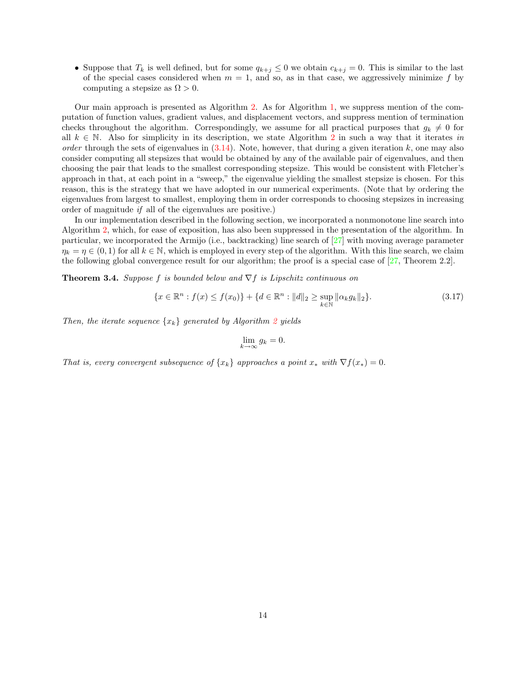• Suppose that  $T_k$  is well defined, but for some  $q_{k+j} \leq 0$  we obtain  $c_{k+j} = 0$ . This is similar to the last of the special cases considered when  $m = 1$ , and so, as in that case, we aggressively minimize f by computing a stepsize as  $\Omega > 0$ .

Our main approach is presented as Algorithm [2.](#page-14-1) As for Algorithm [1,](#page-10-1) we suppress mention of the computation of function values, gradient values, and displacement vectors, and suppress mention of termination checks throughout the algorithm. Correspondingly, we assume for all practical purposes that  $g_k \neq 0$  for all  $k \in \mathbb{N}$ . Also for simplicity in its description, we state Algorithm [2](#page-14-1) in such a way that it iterates in order through the sets of eigenvalues in  $(3.14)$ . Note, however, that during a given iteration k, one may also consider computing all stepsizes that would be obtained by any of the available pair of eigenvalues, and then choosing the pair that leads to the smallest corresponding stepsize. This would be consistent with Fletcher's approach in that, at each point in a "sweep," the eigenvalue yielding the smallest stepsize is chosen. For this reason, this is the strategy that we have adopted in our numerical experiments. (Note that by ordering the eigenvalues from largest to smallest, employing them in order corresponds to choosing stepsizes in increasing order of magnitude if all of the eigenvalues are positive.)

In our implementation described in the following section, we incorporated a nonmonotone line search into Algorithm [2,](#page-14-1) which, for ease of exposition, has also been suppressed in the presentation of the algorithm. In particular, we incorporated the Armijo (i.e., backtracking) line search of [\[27\]](#page-25-3) with moving average parameter  $\eta_k = \eta \in (0, 1)$  for all  $k \in \mathbb{N}$ , which is employed in every step of the algorithm. With this line search, we claim the following global convergence result for our algorithm; the proof is a special case of [\[27,](#page-25-3) Theorem 2.2].

**Theorem 3.4.** Suppose f is bounded below and  $\nabla f$  is Lipschitz continuous on

$$
\{x \in \mathbb{R}^n : f(x) \le f(x_0)\} + \{d \in \mathbb{R}^n : ||d||_2 \ge \sup_{k \in \mathbb{N}} ||\alpha_k g_k||_2\}.
$$
\n(3.17)

Then, the iterate sequence  $\{x_k\}$  generated by Algorithm [2](#page-14-1) yields

$$
\lim_{k \to \infty} g_k = 0.
$$

That is, every convergent subsequence of  $\{x_k\}$  approaches a point  $x_*$  with  $\nabla f(x_*) = 0$ .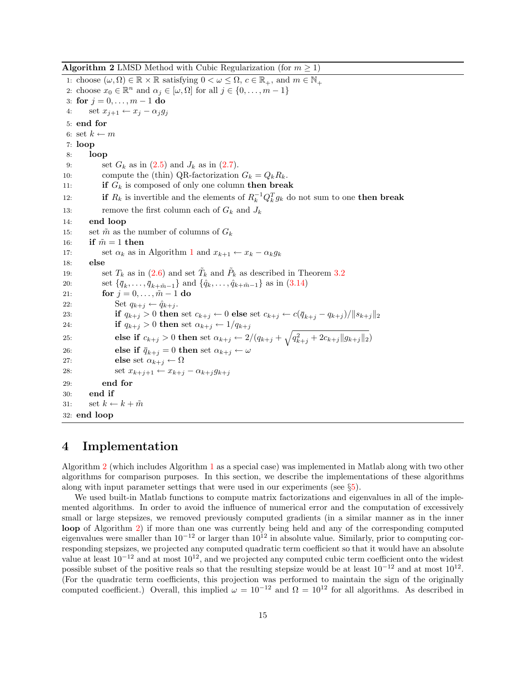**Algorithm 2** LMSD Method with Cubic Regularization (for  $m \geq 1$ )

<span id="page-14-1"></span>1: choose  $(\omega, \Omega) \in \mathbb{R} \times \mathbb{R}$  satisfying  $0 < \omega \leq \Omega$ ,  $c \in \mathbb{R}_+$ , and  $m \in \mathbb{N}_+$ 2: choose  $x_0 \in \mathbb{R}^n$  and  $\alpha_j \in [\omega, \Omega]$  for all  $j \in \{0, \ldots, m-1\}$ 3: for  $j = 0, ..., m - 1$  do 4: set  $x_{j+1} \leftarrow x_j - \alpha_j g_j$ 5: end for 6: set  $k \leftarrow m$ 7: loop 8: loop 9: set  $G_k$  as in  $(2.5)$  and  $J_k$  as in  $(2.7)$ . 10: compute the (thin) QR-factorization  $G_k = Q_k R_k$ . 11: if  $G_k$  is composed of only one column then break 12: **if**  $R_k$  is invertible and the elements of  $R_k^{-1}Q_k^T g_k$  do not sum to one **then break** 13: remove the first column each of  $G_k$  and  $J_k$ 14: end loop 15: set  $\tilde{m}$  as the number of columns of  $G_k$ 16: if  $\tilde{m} = 1$  then [1](#page-10-1)7: set  $\alpha_k$  as in Algorithm 1 and  $x_{k+1} \leftarrow x_k - \alpha_k g_k$ 18: else 19: set  $T_k$  as in [\(2.6\)](#page-6-1) and set  $\tilde{T}_k$  and  $\tilde{P}_k$  as described in Theorem [3.2](#page-12-1) 20: set  $\{\bar{q}_k, \ldots, \bar{q}_{k+\tilde{m}-1}\}\$ and  $\{\hat{q}_k, \ldots, \hat{q}_{k+\tilde{m}-1}\}\$ as in  $(3.14)$ 21: for  $j = 0, \ldots, \tilde{m} - 1$  do 22: Set  $q_{k+j} \leftarrow \hat{q}_{k+j}$ . 23: **if**  $q_{k+j} > 0$  then set  $c_{k+j} \leftarrow 0$  else set  $c_{k+j} \leftarrow c(\bar{q}_{k+j} - q_{k+j})/||s_{k+j}||_2$ 24: **if**  $q_{k+j} > 0$  then set  $\alpha_{k+j} \leftarrow 1/q_{k+j}$ 25: **else if**  $c_{k+j} > 0$  then set  $\alpha_{k+j} \leftarrow 2/(q_{k+j} + \sqrt{q_{k+j}^2 + 2c_{k+j}||g_{k+j}||_2})$ 26: else if  $\bar{q}_{k+i} = 0$  then set  $\alpha_{k+i} \leftarrow \omega$ 27: **else** set  $\alpha_{k+j} \leftarrow \Omega$ 28: set  $x_{k+j+1} \leftarrow x_{k+j} - \alpha_{k+j} g_{k+j}$ 29: end for 30: end if 31: set  $k \leftarrow k + \tilde{m}$ 32: end loop

## <span id="page-14-0"></span>4 Implementation

Algorithm [2](#page-14-1) (which includes Algorithm [1](#page-10-1) as a special case) was implemented in Matlab along with two other algorithms for comparison purposes. In this section, we describe the implementations of these algorithms along with input parameter settings that were used in our experiments (see §[5\)](#page-15-0).

We used built-in Matlab functions to compute matrix factorizations and eigenvalues in all of the implemented algorithms. In order to avoid the influence of numerical error and the computation of excessively small or large stepsizes, we removed previously computed gradients (in a similar manner as in the inner loop of Algorithm [2\)](#page-14-1) if more than one was currently being held and any of the corresponding computed eigenvalues were smaller than  $10^{-12}$  or larger than  $10^{12}$  in absolute value. Similarly, prior to computing corresponding stepsizes, we projected any computed quadratic term coefficient so that it would have an absolute value at least  $10^{-12}$  and at most  $10^{12}$ , and we projected any computed cubic term coefficient onto the widest possible subset of the positive reals so that the resulting stepsize would be at least  $10^{-12}$  and at most  $10^{12}$ . (For the quadratic term coefficients, this projection was performed to maintain the sign of the originally computed coefficient.) Overall, this implied  $\omega = 10^{-12}$  and  $\Omega = 10^{12}$  for all algorithms. As described in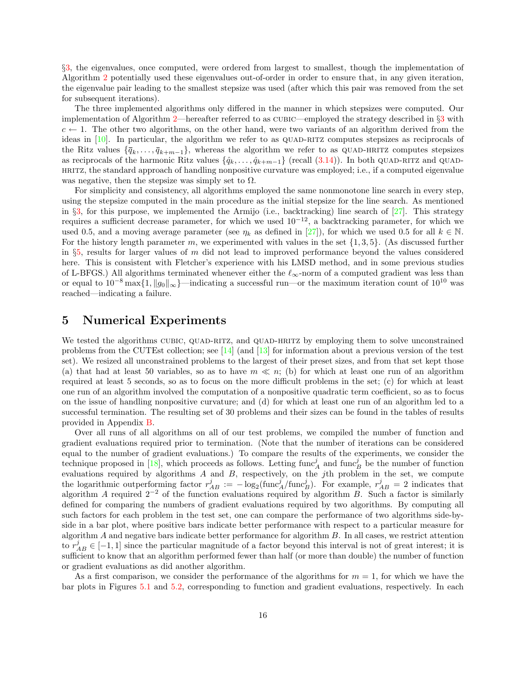§[3,](#page-6-0) the eigenvalues, once computed, were ordered from largest to smallest, though the implementation of Algorithm [2](#page-14-1) potentially used these eigenvalues out-of-order in order to ensure that, in any given iteration, the eigenvalue pair leading to the smallest stepsize was used (after which this pair was removed from the set for subsequent iterations).

The three implemented algorithms only differed in the manner in which stepsizes were computed. Our implementation of Algorithm [2—](#page-14-1)hereafter referred to as cubic—employed the strategy described in §[3](#page-6-0) with  $c \leftarrow 1$ . The other two algorithms, on the other hand, were two variants of an algorithm derived from the ideas in  $[10]$ . In particular, the algorithm we refer to as QUAD-RITZ computes stepsizes as reciprocals of the Ritz values  $\{\bar{q}_k,\ldots,\bar{q}_{k+m-1}\}$ , whereas the algorithm we refer to as QUAD-HRITZ computes stepsizes as reciprocals of the harmonic Ritz values  $\{\hat{q}_k, \ldots, \hat{q}_{k+m-1}\}$  (recall [\(3.14\)](#page-11-3)). In both QUAD-RITZ and QUADhritz, the standard approach of handling nonpositive curvature was employed; i.e., if a computed eigenvalue was negative, then the stepsize was simply set to  $\Omega$ .

For simplicity and consistency, all algorithms employed the same nonmonotone line search in every step, using the stepsize computed in the main procedure as the initial stepsize for the line search. As mentioned in §[3,](#page-6-0) for this purpose, we implemented the Armijo (i.e., backtracking) line search of  $[27]$ . This strategy requires a sufficient decrease parameter, for which we used  $10^{-12}$ , a backtracking parameter, for which we used 0.5, and a moving average parameter (see  $\eta_k$  as defined in [\[27\]](#page-25-3)), for which we used 0.5 for all  $k \in \mathbb{N}$ . For the history length parameter m, we experimented with values in the set  $\{1, 3, 5\}$ . (As discussed further in §[5,](#page-15-0) results for larger values of  $m$  did not lead to improved performance beyond the values considered here. This is consistent with Fletcher's experience with his LMSD method, and in some previous studies of L-BFGS.) All algorithms terminated whenever either the  $\ell_{\infty}$ -norm of a computed gradient was less than or equal to  $10^{-8}$  max $\{1, \|g_0\|_{\infty}\}$ —indicating a successful run—or the maximum iteration count of  $10^{10}$  was reached—indicating a failure.

## <span id="page-15-0"></span>5 Numerical Experiments

We tested the algorithms CUBIC, QUAD-RITZ, and QUAD-HRITZ by employing them to solve unconstrained problems from the CUTEst collection; see [\[14\]](#page-24-16) (and [\[13\]](#page-24-17) for information about a previous version of the test set). We resized all unconstrained problems to the largest of their preset sizes, and from that set kept those (a) that had at least 50 variables, so as to have  $m \ll n$ ; (b) for which at least one run of an algorithm required at least 5 seconds, so as to focus on the more difficult problems in the set; (c) for which at least one run of an algorithm involved the computation of a nonpositive quadratic term coefficient, so as to focus on the issue of handling nonpositive curvature; and (d) for which at least one run of an algorithm led to a successful termination. The resulting set of 30 problems and their sizes can be found in the tables of results provided in Appendix [B.](#page-20-0)

Over all runs of all algorithms on all of our test problems, we compiled the number of function and gradient evaluations required prior to termination. (Note that the number of iterations can be considered equal to the number of gradient evaluations.) To compare the results of the experiments, we consider the technique proposed in [\[18\]](#page-24-18), which proceeds as follows. Letting  $\text{func}_A^j$  and  $\text{func}_B^j$  be the number of function evaluations required by algorithms  $A$  and  $B$ , respectively, on the jth problem in the set, we compute the logarithmic outperforming factor  $r_{AB}^j := -\log_2(\text{func}_A^j/\text{func}_B^j)$ . For example,  $r_{AB}^j = 2$  indicates that algorithm A required  $2^{-2}$  of the function evaluations required by algorithm B. Such a factor is similarly defined for comparing the numbers of gradient evaluations required by two algorithms. By computing all such factors for each problem in the test set, one can compare the performance of two algorithms side-byside in a bar plot, where positive bars indicate better performance with respect to a particular measure for algorithm  $A$  and negative bars indicate better performance for algorithm  $B$ . In all cases, we restrict attention to  $r_{AB}^j \in [-1,1]$  since the particular magnitude of a factor beyond this interval is not of great interest; it is sufficient to know that an algorithm performed fewer than half (or more than double) the number of function or gradient evaluations as did another algorithm.

As a first comparison, we consider the performance of the algorithms for  $m = 1$ , for which we have the bar plots in Figures [5.1](#page-16-0) and [5.2,](#page-16-1) corresponding to function and gradient evaluations, respectively. In each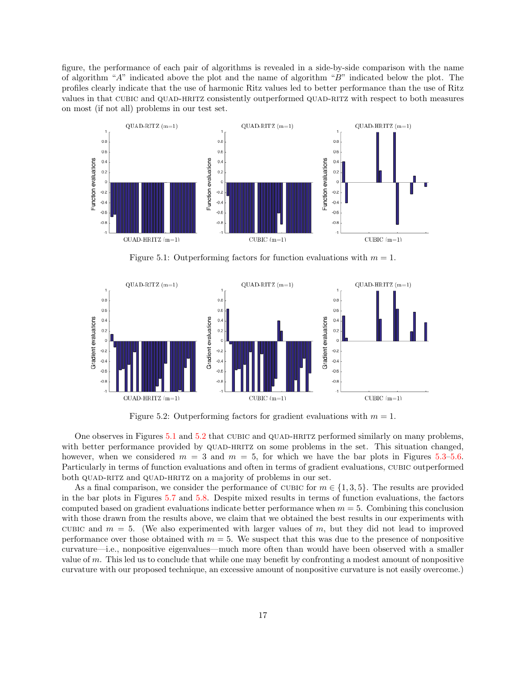figure, the performance of each pair of algorithms is revealed in a side-by-side comparison with the name of algorithm "A" indicated above the plot and the name of algorithm "B" indicated below the plot. The profiles clearly indicate that the use of harmonic Ritz values led to better performance than the use of Ritz values in that CUBIC and QUAD-HRITZ consistently outperformed QUAD-RITZ with respect to both measures on most (if not all) problems in our test set.



<span id="page-16-0"></span>Figure 5.1: Outperforming factors for function evaluations with  $m = 1$ .



<span id="page-16-1"></span>Figure 5.2: Outperforming factors for gradient evaluations with  $m = 1$ .

One observes in Figures [5.1](#page-16-0) and [5.2](#page-16-1) that CUBIC and QUAD-HRITZ performed similarly on many problems, with better performance provided by QUAD-HRITZ on some problems in the set. This situation changed, however, when we considered  $m = 3$  and  $m = 5$ , for which we have the bar plots in Figures [5.3–](#page-17-2)[5.6.](#page-18-0) Particularly in terms of function evaluations and often in terms of gradient evaluations, CUBIC outperformed both QUAD-RITZ and QUAD-HRITZ on a majority of problems in our set.

As a final comparison, we consider the performance of CUBIC for  $m \in \{1,3,5\}$ . The results are provided in the bar plots in Figures [5.7](#page-19-0) and [5.8.](#page-19-1) Despite mixed results in terms of function evaluations, the factors computed based on gradient evaluations indicate better performance when  $m = 5$ . Combining this conclusion with those drawn from the results above, we claim that we obtained the best results in our experiments with CUBIC and  $m = 5$ . (We also experimented with larger values of m, but they did not lead to improved performance over those obtained with  $m = 5$ . We suspect that this was due to the presence of nonpositive curvature—i.e., nonpositive eigenvalues—much more often than would have been observed with a smaller value of m. This led us to conclude that while one may benefit by confronting a modest amount of nonpositive curvature with our proposed technique, an excessive amount of nonpositive curvature is not easily overcome.)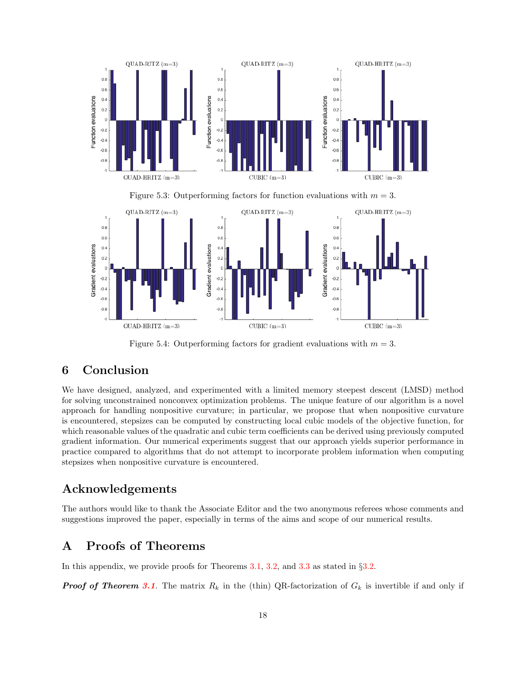

<span id="page-17-2"></span>Figure 5.3: Outperforming factors for function evaluations with  $m = 3$ .



Figure 5.4: Outperforming factors for gradient evaluations with  $m = 3$ .

## <span id="page-17-0"></span>6 Conclusion

We have designed, analyzed, and experimented with a limited memory steepest descent (LMSD) method for solving unconstrained nonconvex optimization problems. The unique feature of our algorithm is a novel approach for handling nonpositive curvature; in particular, we propose that when nonpositive curvature is encountered, stepsizes can be computed by constructing local cubic models of the objective function, for which reasonable values of the quadratic and cubic term coefficients can be derived using previously computed gradient information. Our numerical experiments suggest that our approach yields superior performance in practice compared to algorithms that do not attempt to incorporate problem information when computing stepsizes when nonpositive curvature is encountered.

## Acknowledgements

The authors would like to thank the Associate Editor and the two anonymous referees whose comments and suggestions improved the paper, especially in terms of the aims and scope of our numerical results.

## <span id="page-17-1"></span>A Proofs of Theorems

In this appendix, we provide proofs for Theorems [3.1,](#page-12-2) [3.2,](#page-12-1) and [3.3](#page-12-3) as stated in §[3.2.](#page-10-0)

**Proof of Theorem [3.1](#page-12-2).** The matrix  $R_k$  in the (thin) QR-factorization of  $G_k$  is invertible if and only if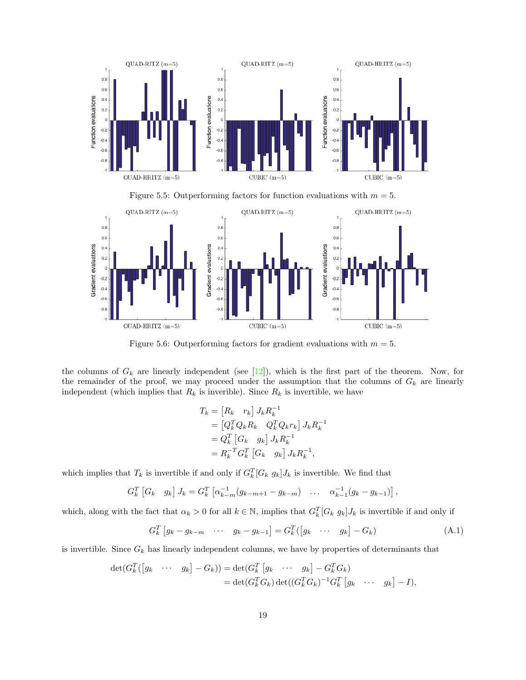

Figure 5.5: Outperforming factors for function evaluations with  $m = 5$ .



Figure 5.6: Outperforming factors for gradient evaluations with  $m = 5$ .

the columns of  $G_k$  are linearly independent (see [\[12\]](#page-24-15)), which is the first part of the theorem. Now, for the remainder of the proof, we may proceed under the assumption that the columns of  $G_k$  are linearly independent (which implies that  $R_k$  is inverible). Since  $R_k$  is invertible, we have

<span id="page-18-1"></span><span id="page-18-0"></span>
$$
T_k = [R_k \ r_k] J_k R_k^{-1}
$$
  
=  $[Q_k^T Q_k R_k \ Q_k^T Q_k r_k] J_k R_k^{-1}$   
=  $Q_k^T [G_k \ g_k] J_k R_k^{-1}$   
=  $R_k^{-T} G_k^T [G_k \ g_k] J_k R_k^{-1},$ 

which implies that  $T_k$  is invertible if and only if  $G_k^T[G_k g_k] J_k$  is invertible. We find that

$$
G_k^T \left[ G_k \quad g_k \right] J_k = G_k^T \left[ \alpha_{k-m}^{-1} (g_{k-m+1} - g_{k-m}) \quad \dots \quad \alpha_{k-1}^{-1} (g_k - g_{k-1}) \right],
$$

which, along with the fact that  $\alpha_k > 0$  for all  $k \in \mathbb{N}$ , implies that  $G_k^T[G_k g_k] J_k$  is invertible if and only if

$$
G_k^T \left[ g_k - g_{k-m} \quad \cdots \quad g_k - g_{k-1} \right] = G_k^T \left( \left[ g_k \quad \cdots \quad g_k \right] - G_k \right) \tag{A.1}
$$

is invertible. Since  $G_k$  has linearly independent columns, we have by properties of determinants that

$$
\det(G_k^T([g_k \cdots g_k] - G_k)) = \det(G_k^T[g_k \cdots g_k] - G_k^T G_k)
$$
  
= 
$$
\det(G_k^T G_k) \det((G_k^T G_k)^{-1} G_k^T[g_k \cdots g_k] - I),
$$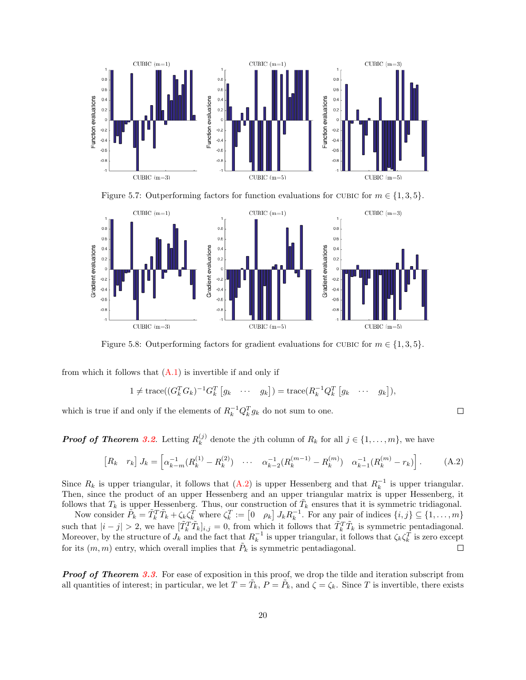

Figure 5.7: Outperforming factors for function evaluations for CUBIC for  $m \in \{1, 3, 5\}$ .



Figure 5.8: Outperforming factors for gradient evaluations for CUBIC for  $m \in \{1, 3, 5\}$ .

from which it follows that  $(A.1)$  is invertible if and only if

$$
1 \neq \text{trace}((G_k^T G_k)^{-1} G_k^T [g_k \cdots g_k]) = \text{trace}(R_k^{-1} Q_k^T [g_k \cdots g_k]),
$$

which is true if and only if the elements of  $R_k^{-1}Q_k^T g_k$  do not sum to one.

**Proof of Theorem [3.2](#page-12-1).** Letting  $R_k^{(j)}$  $\lambda_k^{(j)}$  denote the *j*th column of  $R_k$  for all  $j \in \{1, \ldots, m\}$ , we have

$$
\begin{bmatrix} R_k & r_k \end{bmatrix} J_k = \begin{bmatrix} \alpha_{k-m}^{-1} (R_k^{(1)} - R_k^{(2)}) & \cdots & \alpha_{k-2}^{-1} (R_k^{(m-1)} - R_k^{(m)}) & \alpha_{k-1}^{-1} (R_k^{(m)} - r_k) \end{bmatrix} . \tag{A.2}
$$

Since  $R_k$  is upper triangular, it follows that  $(A.2)$  is upper Hessenberg and that  $R_k^{-1}$  is upper triangular. Then, since the product of an upper Hessenberg and an upper triangular matrix is upper Hessenberg, it follows that  $T_k$  is upper Hessenberg. Thus, our construction of  $\tilde{T}_k$  ensures that it is symmetric tridiagonal.

Now consider  $\tilde{P}_k = \tilde{T}_k^T \tilde{T}_k + \zeta_k \zeta_k^T$  where  $\zeta_k^T := \begin{bmatrix} 0 & \rho_k \end{bmatrix} J_k R_k^{-1}$ . For any pair of indices  $\{i, j\} \subseteq \{1, \ldots, m\}$ such that  $|i-j| > 2$ , we have  $[\tilde{T}_k^T \tilde{T}_k]_{i,j} = 0$ , from which it follows that  $\tilde{T}_k^T \tilde{T}_k$  is symmetric pentadiagonal. Moreover, by the structure of  $J_k$  and the fact that  $R_k^{-1}$  is upper triangular, it follows that  $\zeta_k \zeta_k^T$  is zero except for its  $(m, m)$  entry, which overall implies that  $\tilde{P}_k$  is symmetric pentadiagonal.  $\Box$ 

**Proof of Theorem [3.3](#page-12-3).** For ease of exposition in this proof, we drop the tilde and iteration subscript from all quantities of interest; in particular, we let  $T = \tilde{T}_k$ ,  $P = \tilde{P}_k$ , and  $\zeta = \zeta_k$ . Since T is invertible, there exists

<span id="page-19-2"></span><span id="page-19-1"></span><span id="page-19-0"></span> $\Box$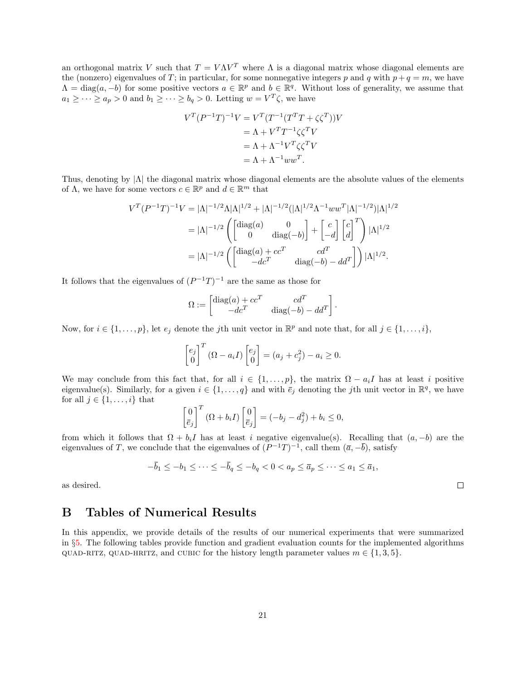an orthogonal matrix V such that  $T = V\Lambda V^T$  where  $\Lambda$  is a diagonal matrix whose diagonal elements are the (nonzero) eigenvalues of T; in particular, for some nonnegative integers p and q with  $p + q = m$ , we have  $\Lambda = \text{diag}(a, -b)$  for some positive vectors  $a \in \mathbb{R}^p$  and  $b \in \mathbb{R}^q$ . Without loss of generality, we assume that  $a_1 \geq \cdots \geq a_p > 0$  and  $b_1 \geq \cdots \geq b_q > 0$ . Letting  $w = V^T \zeta$ , we have

$$
V^T (P^{-1}T)^{-1} V = V^T (T^{-1} (T^T T + \zeta \zeta^T)) V
$$
  
=  $\Lambda + V^T T^{-1} \zeta \zeta^T V$   
=  $\Lambda + \Lambda^{-1} V^T \zeta \zeta^T V$   
=  $\Lambda + \Lambda^{-1} w w^T$ .

Thus, denoting by  $|\Lambda|$  the diagonal matrix whose diagonal elements are the absolute values of the elements of  $\Lambda$ , we have for some vectors  $c \in \mathbb{R}^p$  and  $d \in \mathbb{R}^m$  that

$$
V^{T}(P^{-1}T)^{-1}V = |\Lambda|^{-1/2}\Lambda|\Lambda|^{1/2} + |\Lambda|^{-1/2}(|\Lambda|^{1/2}\Lambda^{-1}ww^{T}|\Lambda|^{-1/2})|\Lambda|^{1/2}
$$
  

$$
= |\Lambda|^{-1/2}\left(\begin{bmatrix} \text{diag}(a) & 0\\ 0 & \text{diag}(-b) \end{bmatrix} + \begin{bmatrix} c\\ -d \end{bmatrix} \begin{bmatrix} c\\ d \end{bmatrix}^{T}\right)|\Lambda|^{1/2}
$$
  

$$
= |\Lambda|^{-1/2}\left(\begin{bmatrix} \text{diag}(a) + cc^{T} & cd^{T}\\ -dc^{T} & \text{diag}(-b) - dd^{T} \end{bmatrix}\right)|\Lambda|^{1/2}.
$$

It follows that the eigenvalues of  $(P^{-1}T)^{-1}$  are the same as those for

$$
\Omega := \begin{bmatrix} \text{diag}(a) + cc^T & cd^T \\ -dc^T & \text{diag}(-b) - dd^T \end{bmatrix}.
$$

Now, for  $i \in \{1, \ldots, p\}$ , let  $e_j$  denote the *j*th unit vector in  $\mathbb{R}^p$  and note that, for all  $j \in \{1, \ldots, i\}$ ,

$$
\begin{bmatrix} e_j \\ 0 \end{bmatrix}^T (\Omega - a_i I) \begin{bmatrix} e_j \\ 0 \end{bmatrix} = (a_j + c_j^2) - a_i \ge 0.
$$

We may conclude from this fact that, for all  $i \in \{1, \ldots, p\}$ , the matrix  $\Omega - a_i I$  has at least i positive eigenvalue(s). Similarly, for a given  $i \in \{1, \ldots, q\}$  and with  $\overline{e}_j$  denoting the jth unit vector in  $\mathbb{R}^q$ , we have for all  $j \in \{1, \ldots, i\}$  that

$$
\begin{bmatrix} 0 \\ \bar{e}_j \end{bmatrix}^T (\Omega + b_i I) \begin{bmatrix} 0 \\ \bar{e}_j \end{bmatrix} = (-b_j - d_j^2) + b_i \le 0,
$$

from which it follows that  $\Omega + b_i I$  has at least i negative eigenvalue(s). Recalling that  $(a, -b)$  are the eigenvalues of T, we conclude that the eigenvalues of  $(P^{-1}T)^{-1}$ , call them  $(\bar{a}, -\bar{b})$ , satisfy

$$
-\bar{b}_1 \leq -b_1 \leq \cdots \leq -\bar{b}_q \leq -b_q < 0 < a_p \leq \bar{a}_p \leq \cdots \leq a_1 \leq \bar{a}_1,
$$

as desired.

## <span id="page-20-0"></span>B Tables of Numerical Results

In this appendix, we provide details of the results of our numerical experiments that were summarized in §[5.](#page-15-0) The following tables provide function and gradient evaluation counts for the implemented algorithms QUAD-RITZ, QUAD-HRITZ, and CUBIC for the history length parameter values  $m \in \{1, 3, 5\}.$ 

 $\Box$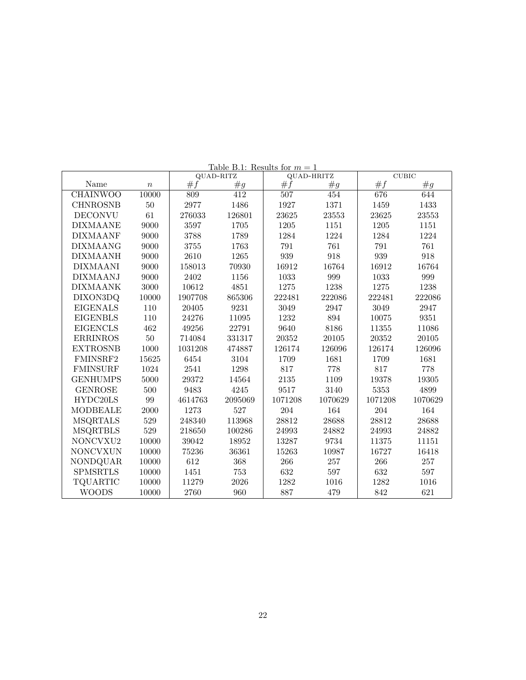|                 |                  | QUAD-RITZ |         | QUAD-HRITZ |         | <b>CUBIC</b> |         |
|-----------------|------------------|-----------|---------|------------|---------|--------------|---------|
| Name            | $\boldsymbol{n}$ | #f        | #g      | #f         | #g      | #f           | #g      |
| <b>CHAINWOO</b> | 10000            | 809       | 412     | 507        | 454     | 676          | 644     |
| <b>CHNROSNB</b> | $50\,$           | 2977      | 1486    | 1927       | 1371    | 1459         | 1433    |
| <b>DECONVU</b>  | 61               | 276033    | 126801  | 23625      | 23553   | 23625        | 23553   |
| <b>DIXMAANE</b> | 9000             | 3597      | 1705    | 1205       | 1151    | 1205         | 1151    |
| <b>DIXMAANF</b> | 9000             | 3788      | 1789    | 1284       | 1224    | 1284         | 1224    |
| <b>DIXMAANG</b> | 9000             | 3755      | 1763    | 791        | 761     | 791          | 761     |
| <b>DIXMAANH</b> | 9000             | 2610      | 1265    | 939        | 918     | 939          | 918     |
| <b>DIXMAANI</b> | 9000             | 158013    | 70930   | 16912      | 16764   | 16912        | 16764   |
| <b>DIXMAANJ</b> | 9000             | 2402      | 1156    | 1033       | 999     | 1033         | 999     |
| <b>DIXMAANK</b> | 3000             | 10612     | 4851    | 1275       | 1238    | 1275         | 1238    |
| DIXON3DQ        | 10000            | 1907708   | 865306  | 222481     | 222086  | 222481       | 222086  |
| <b>EIGENALS</b> | 110              | 20405     | 9231    | 3049       | 2947    | 3049         | 2947    |
| <b>EIGENBLS</b> | 110              | 24276     | 11095   | 1232       | 894     | 10075        | 9351    |
| <b>EIGENCLS</b> | 462              | 49256     | 22791   | 9640       | 8186    | 11355        | 11086   |
| <b>ERRINROS</b> | $50\,$           | 714084    | 331317  | 20352      | 20105   | 20352        | 20105   |
| <b>EXTROSNB</b> | 1000             | 1031208   | 474887  | 126174     | 126096  | 126174       | 126096  |
| FMINSRF2        | 15625            | 6454      | 3104    | 1709       | 1681    | 1709         | 1681    |
| <b>FMINSURF</b> | 1024             | 2541      | 1298    | 817        | 778     | 817          | 778     |
| <b>GENHUMPS</b> | 5000             | 29372     | 14564   | 2135       | 1109    | 19378        | 19305   |
| <b>GENROSE</b>  | 500              | 9483      | 4245    | 9517       | 3140    | 5353         | 4899    |
| HYDC20LS        | 99               | 4614763   | 2095069 | 1071208    | 1070629 | 1071208      | 1070629 |
| <b>MODBEALE</b> | 2000             | 1273      | 527     | 204        | 164     | 204          | 164     |
| <b>MSQRTALS</b> | 529              | 248340    | 113968  | 28812      | 28688   | 28812        | 28688   |
| <b>MSQRTBLS</b> | 529              | 218650    | 100286  | 24993      | 24882   | 24993        | 24882   |
| NONCVXU2        | 10000            | 39042     | 18952   | 13287      | 9734    | 11375        | 11151   |
| <b>NONCVXUN</b> | 10000            | 75236     | 36361   | 15263      | 10987   | 16727        | 16418   |
| NONDQUAR        | 10000            | 612       | 368     | 266        | 257     | 266          | 257     |
| <b>SPMSRTLS</b> | 10000            | 1451      | 753     | 632        | 597     | 632          | 597     |
| <b>TQUARTIC</b> | 10000            | 11279     | 2026    | 1282       | 1016    | 1282         | 1016    |
| <b>WOODS</b>    | 10000            | 2760      | 960     | 887        | 479     | 842          | 621     |

Table B.1: Results for  $m = 1$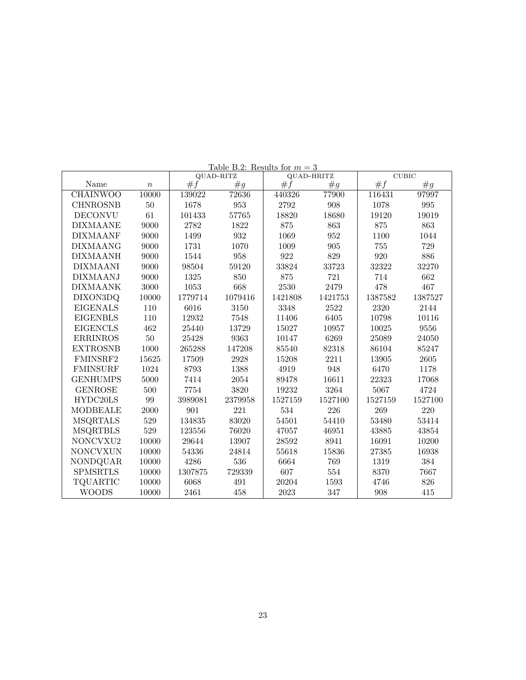|                 |                  | QUAD-RITZ |         | QUAD-HRITZ |         | <b>CUBIC</b> |         |
|-----------------|------------------|-----------|---------|------------|---------|--------------|---------|
| Name            | $\boldsymbol{n}$ | #f        | #g      | #f         | #g      | #f           | #g      |
| <b>CHAINWOO</b> | 10000            | 139022    | 72636   | 440326     | 77900   | 116431       | 97997   |
| <b>CHNROSNB</b> | $50\,$           | 1678      | 953     | 2792       | 908     | 1078         | 995     |
| <b>DECONVU</b>  | 61               | 101433    | 57765   | 18820      | 18680   | 19120        | 19019   |
| <b>DIXMAANE</b> | 9000             | 2782      | 1822    | 875        | 863     | 875          | 863     |
| <b>DIXMAANF</b> | 9000             | 1499      | 932     | 1069       | 952     | 1100         | 1044    |
| <b>DIXMAANG</b> | 9000             | 1731      | 1070    | 1009       | $905\,$ | 755          | 729     |
| <b>DIXMAANH</b> | 9000             | 1544      | 958     | 922        | 829     | 920          | 886     |
| <b>DIXMAANI</b> | 9000             | 98504     | 59120   | 33824      | 33723   | 32322        | 32270   |
| <b>DIXMAANJ</b> | 9000             | 1325      | 850     | 875        | 721     | 714          | 662     |
| <b>DIXMAANK</b> | 3000             | 1053      | 668     | 2530       | 2479    | 478          | 467     |
| DIXON3DQ        | 10000            | 1779714   | 1079416 | 1421808    | 1421753 | 1387582      | 1387527 |
| <b>EIGENALS</b> | 110              | 6016      | 3150    | 3348       | 2522    | 2320         | 2144    |
| <b>EIGENBLS</b> | 110              | 12932     | 7548    | 11406      | 6405    | 10798        | 10116   |
| <b>EIGENCLS</b> | 462              | 25440     | 13729   | 15027      | 10957   | 10025        | 9556    |
| <b>ERRINROS</b> | 50               | 25428     | 9363    | 10147      | 6269    | 25089        | 24050   |
| <b>EXTROSNB</b> | 1000             | 265288    | 147208  | 85540      | 82318   | 86104        | 85247   |
| FMINSRF2        | 15625            | 17509     | 2928    | 15208      | 2211    | 13905        | 2605    |
| <b>FMINSURF</b> | 1024             | 8793      | 1388    | 4919       | 948     | 6470         | 1178    |
| <b>GENHUMPS</b> | 5000             | 7414      | 2054    | 89478      | 16611   | 22323        | 17068   |
| <b>GENROSE</b>  | 500              | 7754      | 3820    | 19232      | 3264    | 5067         | 4724    |
| HYDC20LS        | 99               | 3989081   | 2379958 | 1527159    | 1527100 | 1527159      | 1527100 |
| <b>MODBEALE</b> | 2000             | 901       | 221     | 534        | 226     | 269          | 220     |
| <b>MSQRTALS</b> | 529              | 134835    | 83020   | 54501      | 54410   | 53480        | 53414   |
| <b>MSQRTBLS</b> | 529              | 123556    | 76020   | 47057      | 46951   | 43885        | 43854   |
| NONCVXU2        | 10000            | 29644     | 13907   | 28592      | 8941    | 16091        | 10200   |
| <b>NONCVXUN</b> | 10000            | 54336     | 24814   | 55618      | 15836   | 27385        | 16938   |
| NONDQUAR        | 10000            | 4286      | 536     | 6664       | 769     | 1319         | 384     |
| <b>SPMSRTLS</b> | 10000            | 1307875   | 729339  | 607        | 554     | 8370         | 7667    |
| <b>TQUARTIC</b> | 10000            | 6068      | 491     | 20204      | 1593    | 4746         | 826     |
| <b>WOODS</b>    | 10000            | 2461      | 458     | 2023       | 347     | 908          | 415     |

Table B.2: Results for  $m = 3$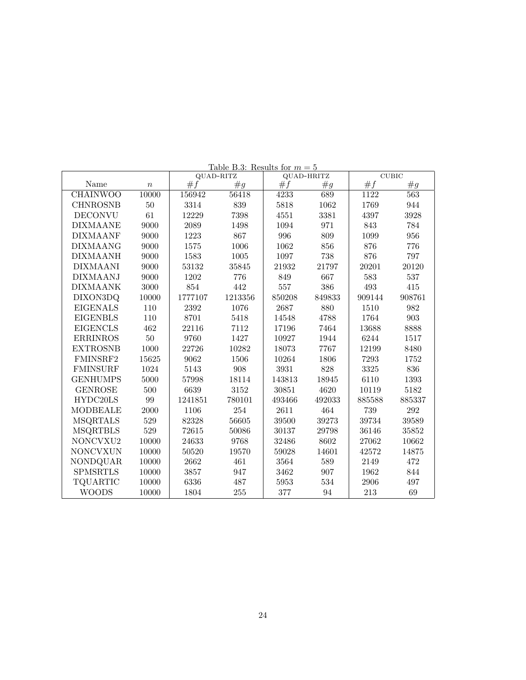|                 |                  | QUAD-RITZ |         | QUAD-HRITZ |        | <b>CUBIC</b> |        |
|-----------------|------------------|-----------|---------|------------|--------|--------------|--------|
| Name            | $\boldsymbol{n}$ | #f        | #g      | #f         | #g     | #f           | #g     |
| <b>CHAINWOO</b> | 10000            | 156942    | 56418   | 4233       | 689    | 1122         | 563    |
| <b>CHNROSNB</b> | $50\,$           | 3314      | 839     | 5818       | 1062   | 1769         | 944    |
| <b>DECONVU</b>  | 61               | 12229     | 7398    | 4551       | 3381   | 4397         | 3928   |
| <b>DIXMAANE</b> | 9000             | 2089      | 1498    | 1094       | 971    | 843          | 784    |
| <b>DIXMAANF</b> | 9000             | 1223      | 867     | 996        | 809    | 1099         | 956    |
| <b>DIXMAANG</b> | 9000             | 1575      | 1006    | 1062       | 856    | 876          | 776    |
| <b>DIXMAANH</b> | 9000             | 1583      | 1005    | 1097       | 738    | 876          | 797    |
| <b>DIXMAANI</b> | 9000             | 53132     | 35845   | 21932      | 21797  | 20201        | 20120  |
| <b>DIXMAANJ</b> | 9000             | 1202      | 776     | 849        | 667    | 583          | 537    |
| <b>DIXMAANK</b> | 3000             | 854       | 442     | 557        | 386    | 493          | 415    |
| DIXON3DQ        | 10000            | 1777107   | 1213356 | 850208     | 849833 | 909144       | 908761 |
| <b>EIGENALS</b> | 110              | 2392      | 1076    | 2687       | 880    | 1510         | 982    |
| <b>EIGENBLS</b> | 110              | 8701      | 5418    | 14548      | 4788   | 1764         | 903    |
| <b>EIGENCLS</b> | 462              | 22116     | 7112    | 17196      | 7464   | 13688        | 8888   |
| <b>ERRINROS</b> | $50\,$           | 9760      | 1427    | 10927      | 1944   | 6244         | 1517   |
| <b>EXTROSNB</b> | 1000             | 22726     | 10282   | 18073      | 7767   | 12199        | 8480   |
| FMINSRF2        | 15625            | 9062      | 1506    | 10264      | 1806   | 7293         | 1752   |
| <b>FMINSURF</b> | 1024             | 5143      | 908     | 3931       | 828    | 3325         | 836    |
| <b>GENHUMPS</b> | 5000             | 57998     | 18114   | 143813     | 18945  | 6110         | 1393   |
| <b>GENROSE</b>  | 500              | 6639      | 3152    | 30851      | 4620   | 10119        | 5182   |
| HYDC20LS        | 99               | 1241851   | 780101  | 493466     | 492033 | 885588       | 885337 |
| MODBEALE        | 2000             | 1106      | 254     | 2611       | 464    | 739          | 292    |
| <b>MSQRTALS</b> | 529              | 82328     | 56605   | 39500      | 39273  | 39734        | 39589  |
| <b>MSQRTBLS</b> | 529              | 72615     | 50086   | 30137      | 29798  | 36146        | 35852  |
| NONCVXU2        | 10000            | 24633     | 9768    | 32486      | 8602   | 27062        | 10662  |
| <b>NONCVXUN</b> | 10000            | 50520     | 19570   | 59028      | 14601  | 42572        | 14875  |
| NONDQUAR        | 10000            | 2662      | 461     | 3564       | 589    | 2149         | 472    |
| <b>SPMSRTLS</b> | 10000            | 3857      | 947     | 3462       | 907    | 1962         | 844    |
| TQUARTIC        | 10000            | 6336      | 487     | 5953       | 534    | 2906         | 497    |
| <b>WOODS</b>    | 10000            | 1804      | 255     | 377        | 94     | 213          | 69     |

Table B.3: Results for  $m = 5$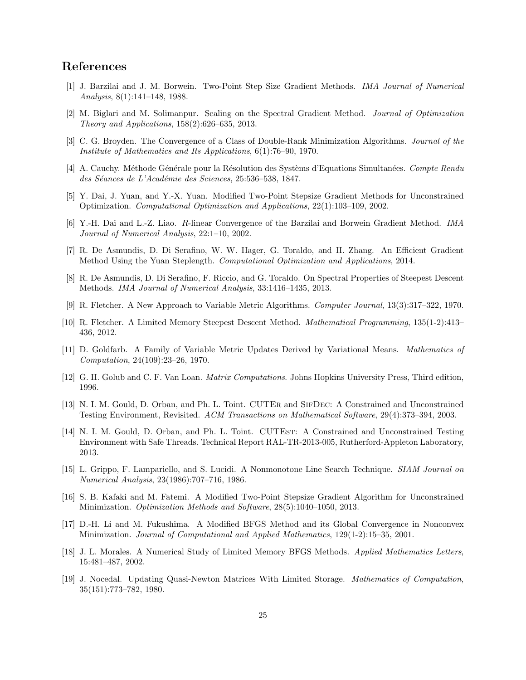## References

- <span id="page-24-1"></span>[1] J. Barzilai and J. M. Borwein. Two-Point Step Size Gradient Methods. IMA Journal of Numerical Analysis, 8(1):141–148, 1988.
- <span id="page-24-12"></span>[2] M. Biglari and M. Solimanpur. Scaling on the Spectral Gradient Method. Journal of Optimization Theory and Applications, 158(2):626–635, 2013.
- <span id="page-24-2"></span>[3] C. G. Broyden. The Convergence of a Class of Double-Rank Minimization Algorithms. Journal of the Institute of Mathematics and Its Applications, 6(1):76–90, 1970.
- <span id="page-24-6"></span>[4] A. Cauchy. Méthode Générale pour la Résolution des Systèms d'Equations Simultanées. Compte Rendu des Séances de L'Académie des Sciences, 25:536-538, 1847.
- <span id="page-24-9"></span>[5] Y. Dai, J. Yuan, and Y.-X. Yuan. Modified Two-Point Stepsize Gradient Methods for Unconstrained Optimization. Computational Optimization and Applications, 22(1):103–109, 2002.
- <span id="page-24-7"></span>[6] Y.-H. Dai and L.-Z. Liao. R-linear Convergence of the Barzilai and Borwein Gradient Method. IMA Journal of Numerical Analysis, 22:1–10, 2002.
- <span id="page-24-10"></span>[7] R. De Asmundis, D. Di Serafino, W. W. Hager, G. Toraldo, and H. Zhang. An Efficient Gradient Method Using the Yuan Steplength. Computational Optimization and Applications, 2014.
- <span id="page-24-11"></span>[8] R. De Asmundis, D. Di Serafino, F. Riccio, and G. Toraldo. On Spectral Properties of Steepest Descent Methods. IMA Journal of Numerical Analysis, 33:1416–1435, 2013.
- <span id="page-24-3"></span>[9] R. Fletcher. A New Approach to Variable Metric Algorithms. Computer Journal, 13(3):317–322, 1970.
- <span id="page-24-0"></span>[10] R. Fletcher. A Limited Memory Steepest Descent Method. Mathematical Programming, 135(1-2):413– 436, 2012.
- <span id="page-24-4"></span>[11] D. Goldfarb. A Family of Variable Metric Updates Derived by Variational Means. Mathematics of Computation, 24(109):23–26, 1970.
- <span id="page-24-15"></span>[12] G. H. Golub and C. F. Van Loan. Matrix Computations. Johns Hopkins University Press, Third edition, 1996.
- <span id="page-24-17"></span>[13] N. I. M. Gould, D. Orban, and Ph. L. Toint. CUTER and SIFDEC: A Constrained and Unconstrained Testing Environment, Revisited. ACM Transactions on Mathematical Software, 29(4):373–394, 2003.
- <span id="page-24-16"></span>[14] N. I. M. Gould, D. Orban, and Ph. L. Toint. CUTEST: A Constrained and Unconstrained Testing Environment with Safe Threads. Technical Report RAL-TR-2013-005, Rutherford-Appleton Laboratory, 2013.
- <span id="page-24-8"></span>[15] L. Grippo, F. Lampariello, and S. Lucidi. A Nonmonotone Line Search Technique. SIAM Journal on Numerical Analysis, 23(1986):707–716, 1986.
- <span id="page-24-13"></span>[16] S. B. Kafaki and M. Fatemi. A Modified Two-Point Stepsize Gradient Algorithm for Unconstrained Minimization. Optimization Methods and Software, 28(5):1040–1050, 2013.
- <span id="page-24-14"></span>[17] D.-H. Li and M. Fukushima. A Modified BFGS Method and its Global Convergence in Nonconvex Minimization. Journal of Computational and Applied Mathematics, 129(1-2):15–35, 2001.
- <span id="page-24-18"></span>[18] J. L. Morales. A Numerical Study of Limited Memory BFGS Methods. Applied Mathematics Letters, 15:481–487, 2002.
- <span id="page-24-5"></span>[19] J. Nocedal. Updating Quasi-Newton Matrices With Limited Storage. Mathematics of Computation, 35(151):773–782, 1980.